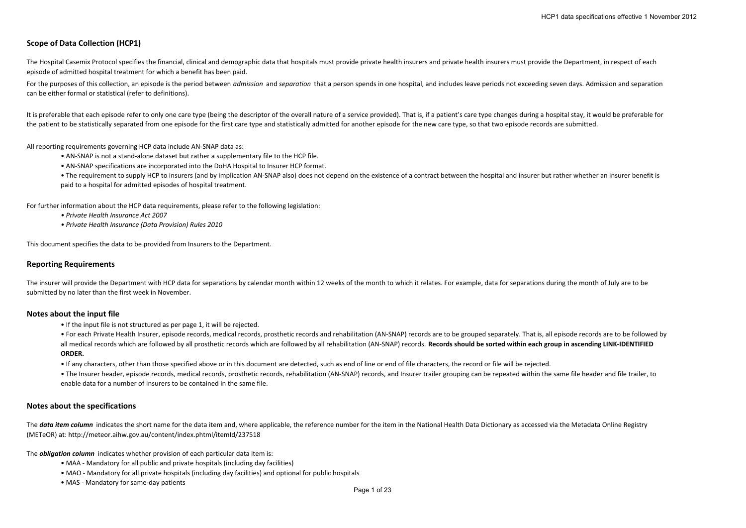# **Scope of Data Collection (HCP1)**

The Hospital Casemix Protocol specifies the financial, clinical and demographic data that hospitals must provide private health insurers and private health insurers must provide the Department, in respect of each episode of admitted hospital treatment for which <sup>a</sup> benefit has been paid.

For the purposes of this collection, an episode is the period between *admission* and *separation* that a person spends in one hospital, and includes leave periods not exceeding seven days. Admission and separation can be either formal or statistical (refer to definitions).

It is preferable that each episode refer to only one care type (being the descriptor of the overall nature of a service provided). That is, if a patient's care type changes during a hospital stay, it would be preferable fo the patient to be statistically separated from one episode for the first care type and statistically admitted for another episode for the new care type, so that two episode records are submitted.

All reporting requirements governing HCP data include AN‐SNAP data as:

- AN‐SNAP is not <sup>a</sup> stand‐alone dataset but rather <sup>a</sup> supplementary file to the HCP file.
- AN‐SNAP specifications are incorporated into the DoHA Hospital to Insurer HCP format.

● The requirement to supply HCP to insurers (and by implication AN-SNAP also) does not depend on the existence of a contract between the hospital and insurer but rather whether an insurer benefit is paid to <sup>a</sup> hospital for admitted episodes of hospital treatment.

For further information about the HCP data requirements, please refer to the following legislation:

- *• Private Health Insurance Act 2007*
- *• Private Health Insurance (Data Provision) Rules 2010*

This document specifies the data to be provided from Insurers to the Department.

## **Reporting Requirements**

The insurer will provide the Department with HCP data for separations by calendar month within 12 weeks of the month to which it relates. For example, data for separations during the month of July are to be submitted by no later than the first week in November.

# **Notes about the input file**

• If the input file is not structured as per page 1, it will be rejected.

• For each Private Health Insurer, episode records, medical records, prosthetic records and rehabilitation (AN-SNAP) records are to be grouped separately. That is, all episode records are to be followed by all medical records which are followed by all prosthetic records which are followed by all rehabilitation (AN-SNAP) records. Records should be sorted within each group in ascending LINK-IDENTIFIED **ORDER.**

• If any characters, other than those specified above or in this document are detected, such as end of line or end of file characters, the record or file will be rejected.

● The Insurer header, episode records, medical records, prosthetic records, rehabilitation (AN-SNAP) records, and Insurer trailer grouping can be repeated within the same file header and file trailer, to enable data for <sup>a</sup> number of Insurers to be contained in the same file.

# **Notes about the specifications**

The data item column indicates the short name for the data item and, where applicable, the reference number for the item in the National Health Data Dictionary as accessed via the Metadata Online Registry (METeOR) at: http://meteor.aihw.gov.au/content/index.phtml/itemId/237518

The *obligation column* indicates whether provision of each particular data item is:

- MAA ‐ Mandatory for all public and private hospitals (including day facilities)
- MAO ‐ Mandatory for all private hospitals (including day facilities) and optional for public hospitals
- MAS ‐ Mandatory for same‐day patients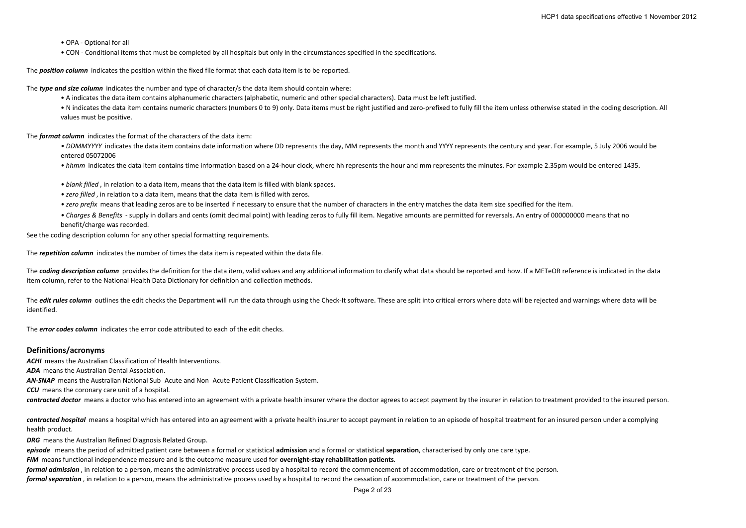#### • OPA ‐ Optional for all

• CON ‐ Conditional items that must be completed by all hospitals but only in the circumstances specified in the specifications.

The *position column* indicates the position within the fixed file format that each data item is to be reported.

The *type and size column* indicates the number and type of character/s the data item should contain where:

• A indicates the data item contains alphanumeric characters (alphabetic, numeric and other special characters). Data must be left justified.

• N indicates the data item contains numeric characters (numbers 0 to 9) only. Data items must be right justified and zero-prefixed to fully fill the item unless otherwise stated in the coding description. All values must be positive.

The *format column* indicates the format of the characters of the data item:

• DDMMYYYY indicates the data item contains date information where DD represents the day, MM represents the month and YYYY represents the century and year. For example, 5 July 2006 would be entered 05072006

• hhmm indicates the data item contains time information based on a 24‐hour clock, where hh represents the hour and mm represents the minutes. For example 2.35pm would be entered 1435.

- *• blank filled* , in relation to <sup>a</sup> data item, means that the data item is filled with blank spaces.
- *• zero filled* , in relation to <sup>a</sup> data item, means that the data item is filled with zeros.
- *• zero prefix* means that leading zeros are to be inserted if necessary to ensure that the number of characters in the entry matches the data item size specified for the item.
- Charges & Benefits supply in dollars and cents (omit decimal point) with leading zeros to fully fill item. Negative amounts are permitted for reversals. An entry of 000000000 means that no benefit/charge was recorded.

See the coding description column for any other special formatting requirements.

The *repetition column* indicates the number of times the data item is repeated within the data file.

The coding description column provides the definition for the data item, valid values and any additional information to clarify what data should be reported and how. If a METeOR reference is indicated in the data item column, refer to the National Health Data Dictionary for definition and collection methods.

The *edit rules column* outlines the edit checks the Department will run the data through using the Check-It software. These are split into critical errors where data will be rejected and warnings where data will be identified.

The *error codes column* indicates the error code attributed to each of the edit checks.

### **Definitions/acronyms**

*ACHI* means the Australian Classification of Health Interventions. *ADA* means the Australian Dental Association. **AN-SNAP** means the Australian National Sub Acute and Non Acute Patient Classification System. *CCU* means the coronary care unit of <sup>a</sup> hospital. *contracted doctor* means <sup>a</sup> doctor who has entered into an agreement with <sup>a</sup> private health insurer where the doctor agrees to accept payment by the insurer in relation to treatment provided to the insured person.

*contracted hospital* means <sup>a</sup> hospital which has entered into an agreement with <sup>a</sup> private health insurer to accept payment in relation to an episode of hospital treatment for an insured person under <sup>a</sup> complying health product.

*DRG* means the Australian Refined Diagnosis Related Group.

*episode* means the period of admitted patient care between <sup>a</sup> formal or statistical **admission** and <sup>a</sup> formal or statistical **separation**, characterised by only one care type.

*FIM* means functional independence measure and is the outcome measure used for **overnight‐stay rehabilitation patients**.

*formal admission* , in relation to <sup>a</sup> person, means the administrative process used by <sup>a</sup> hospital to record the commencement of accommodation, care or treatment of the person.

*formal separation* , in relation to <sup>a</sup> person, means the administrative process used by <sup>a</sup> hospital to record the cessation of accommodation, care or treatment of the person.

Page 2 of 23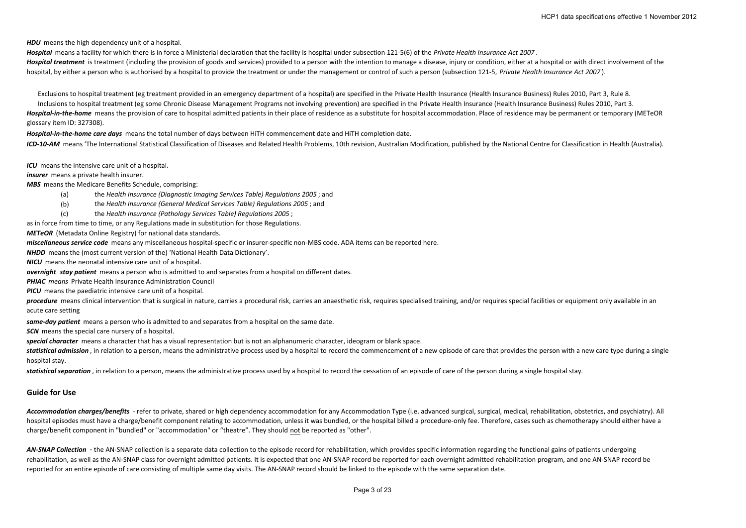*HDU* means the high dependency unit of <sup>a</sup> hospital.

*Hospital* means <sup>a</sup> facility for which there is in force <sup>a</sup> Ministerial declaration that the facility is hospital under subsection 121‐5(6) of the *Private Health Insurance Act 2007* . Hospital treatment is treatment (including the provision of goods and services) provided to a person with the intention to manage a disease, injury or condition, either at a hospital or with direct involvement of the hospital, by either a person who is authorised by a hospital to provide the treatment or under the management or control of such a person (subsection 121-5, Private Health Insurance Act 2007).

Exclusions to hospital treatment (eg treatment provided in an emergency department of <sup>a</sup> hospital) are specified in the Private Health Insurance (Health Insurance Business) Rules 2010, Part 3, Rule 8.

Inclusions to hospital treatment (eg some Chronic Disease Management Programs not involving prevention) are specified in the Private Health Insurance (Health Insurance Business) Rules 2010, Part 3. Hospital-in-the-home means the provision of care to hospital admitted patients in their place of residence as a substitute for hospital accommodation. Place of residence may be permanent or temporary (METeOR glossary item ID: 327308).

*Hospital‐in‐the‐home care days* means the total number of days between HiTH commencement date and HiTH completion date.

ICD-10-AM means 'The International Statistical Classification of Diseases and Related Health Problems, 10th revision, Australian Modification, published by the National Centre for Classification in Health (Australia).

*ICU* means the intensive care unit of <sup>a</sup> hospital.

*insurer* means a private health insurer.

*MBS* means the Medicare Benefits Schedule, comprising:

- (a) the *Health Insurance (Diagnostic Imaging Services Table) Regulations 2005* ; and
- (b) the *Health Insurance (General Medical Services Table) Regulations 2005* ; and
- (c) the *Health Insurance (Pathology Services Table) Regulations 2005* ;

as in force from time to time, or any Regulations made in substitution for those Regulations.

*METeOR* (Metadata Online Registry) for national data standards.

*miscellaneous service code* means any miscellaneous hospital‐specific or insurer‐specific non‐MBS code. ADA items can be reported here.

*NHDD* means the (most current version of the) 'National Health Data Dictionary'.

*NICU* means the neonatal intensive care unit of <sup>a</sup> hospital.

*overnight stay patient* means a person who is admitted to and separates from a hospital on different dates.

*PHIAC means* Private Health Insurance Administration Council

*PICU* means the paediatric intensive care unit of <sup>a</sup> hospital.

procedure means clinical intervention that is surgical in nature, carries a procedural risk, carries an anaesthetic risk, requires specialised training, and/or requires special facilities or equipment only available in an acute care setting

*same‐day patient* means <sup>a</sup> person who is admitted to and separates from <sup>a</sup> hospital on the same date.

*SCN* means the special care nursery of <sup>a</sup> hospital.

*special character* means <sup>a</sup> character that has <sup>a</sup> visual representation but is not an alphanumeric character, ideogram or blank space.

statistical admission, in relation to a person, means the administrative process used by a hospital to record the commencement of a new episode of care that provides the person with a new care type during a single hospital stay.

*statistical separation* , in relation to <sup>a</sup> person, means the administrative process used by <sup>a</sup> hospital to record the cessation of an episode of care of the person during <sup>a</sup> single hospital stay.

# **Guide for Use**

Accommodation charges/benefits - refer to private, shared or high dependency accommodation for any Accommodation Type (i.e. advanced surgical, surgical, medical, rehabilitation, obstetrics, and psychiatry). All hospital episodes must have a charge/benefit component relating to accommodation, unless it was bundled, or the hospital billed a procedure-only fee. Therefore, cases such as chemotherapy should either have a charge/benefit component in "bundled" or "accommodation" or "theatre". They should not be reported as "other".

AN-SNAP Collection - the AN-SNAP collection is a separate data collection to the episode record for rehabilitation, which provides specific information regarding the functional gains of patients undergoing rehabilitation, as well as the AN‐SNAP class for overnight admitted patients. It is expected that one AN‐SNAP record be reported for each overnight admitted rehabilitation program, and one AN‐SNAP record be reported for an entire episode of care consisting of multiple same day visits. The AN‐SNAP record should be linked to the episode with the same separation date.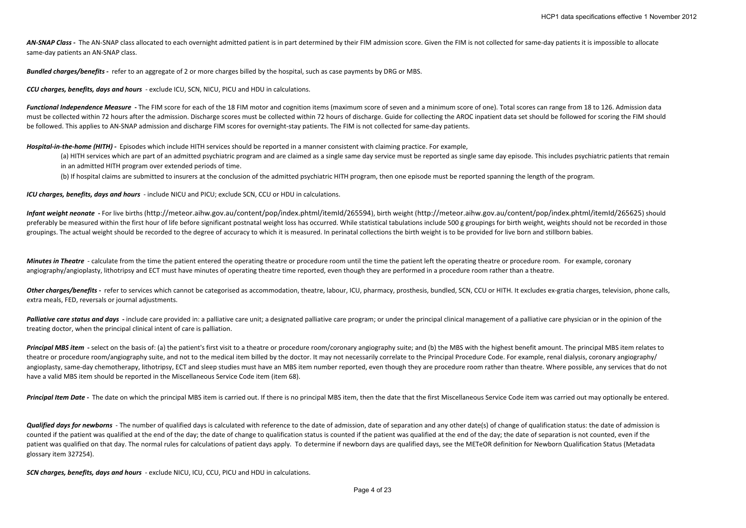AN-SNAP Class - The AN-SNAP class allocated to each overnight admitted patient is in part determined by their FIM admission score. Given the FIM is not collected for same-day patients it is impossible to allocate same-day patients an AN-SNAP class.

*Bundled charges/benefits ‐*  refer to an aggregate of 2 or more charges billed by the hospital, such as case payments by DRG or MBS.

*CCU charges, benefits, days and hours* ‐ exclude ICU, SCN, NICU, PICU and HDU in calculations.

Functional Independence Measure - The FIM score for each of the 18 FIM motor and cognition items (maximum score of seven and a minimum score of one). Total scores can range from 18 to 126. Admission data must be collected within 72 hours after the admission. Discharge scores must be collected within 72 hours of discharge. Guide for collecting the AROC inpatient data set should be followed for scoring the FIM should be followed. This applies to AN‐SNAP admission and discharge FIM scores for overnight‐stay patients. The FIM is not collected for same‐day patients.

*Hospital‐in‐the‐home (HITH) ‐*  Episodes which include HITH services should be reported in <sup>a</sup> manner consistent with claiming practice. For example,

(a) HITH services which are part of an admitted psychiatric program and are claimed as a single same day service must be reported as single same day episode. This includes psychiatric patients that remain in an admitted HITH program over extended periods of time.

(b) If hospital claims are submitted to insurers at the conclusion of the admitted psychiatric HITH program, then one episode must be reported spanning the length of the program.

*ICU charges, benefits, days and hours* ‐ include NICU and PICU; exclude SCN, CCU or HDU in calculations.

Infant weight neonate - For live births (http://meteor.aihw.gov.au/content/pop/index.phtml/itemld/265594), birth weight (http://meteor.aihw.gov.au/content/pop/index.phtml/itemld/265594), birth weight (http://meteor.aihw.go preferably be measured within the first hour of life before significant postnatal weight loss has occurred. While statistical tabulations include 500 g groupings for birth weight, weights should not be recorded in those groupings. The actual weight should be recorded to the degree of accuracy to which it is measured. In perinatal collections the birth weight is to be provided for live born and stillborn babies.

**Minutes in Theatre** - calculate from the time the patient entered the operating theatre or procedure room until the time the patient left the operating theatre or procedure room. For example, coronary angiography/angioplasty, lithotripsy and ECT must have minutes of operating theatre time reported, even though they are performed in a procedure room rather than a theatre.

Other charges/benefits - refer to services which cannot be categorised as accommodation, theatre, labour, ICU, pharmacy, prosthesis, bundled, SCN, CCU or HITH. It excludes ex-gratia charges, television, phone calls, extra meals, FED, reversals or journal adjustments.

Palliative care status and days - include care provided in: a palliative care unit; a designated palliative care program; or under the principal clinical management of a palliative care physician or in the opinion of the treating doctor, when the principal clinical intent of care is palliation.

Principal MBS item - select on the basis of: (a) the patient's first visit to a theatre or procedure room/coronary angiography suite; and (b) the MBS with the highest benefit amount. The principal MBS item relates to theatre or procedure room/angiography suite, and not to the medical item billed by the doctor. It may not necessarily correlate to the Principal Procedure Code. For example, renal dialysis, coronary angiography/ angioplasty, same-day chemotherapy, lithotripsy, ECT and sleep studies must have an MBS item number reported, even though they are procedure room rather than theatre. Where possible, any services that do not have <sup>a</sup> valid MBS item should be reported in the Miscellaneous Service Code item (item 68).

Principal Item Date - The date on which the principal MBS item is carried out. If there is no principal MBS item, then the date that the first Miscellaneous Service Code item was carried out may optionally be entered.

Qualified days for newborns - The number of qualified days is calculated with reference to the date of admission, date of separation and any other date(s) of change of qualification status: the date of admission is counted if the patient was qualified at the end of the day; the date of change to qualification status is counted if the patient was qualified at the end of the day; the date of separation is not counted, even if the patient was qualified on that day. The normal rules for calculations of patient days apply. To determine if newborn days are qualified days, see the METeOR definition for Newborn Qualification Status (Metadata glossary item 327254).

*SCN charges, benefits, days and hours* ‐ exclude NICU, ICU, CCU, PICU and HDU in calculations.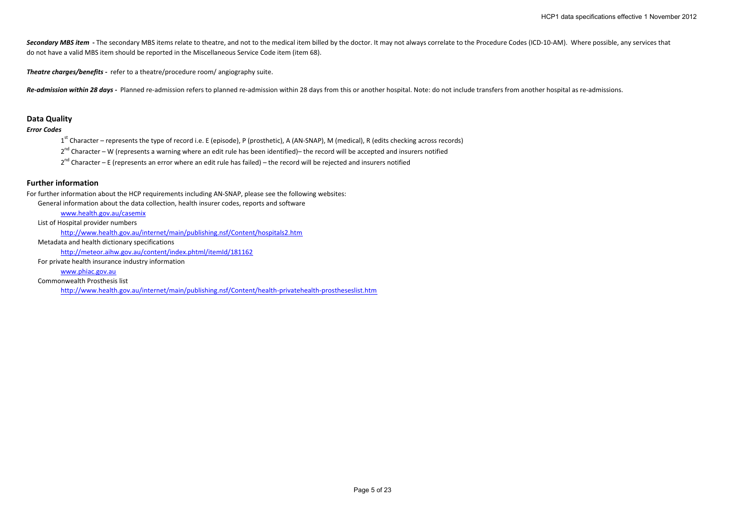Secondary MBS item - The secondary MBS items relate to theatre, and not to the medical item billed by the doctor. It may not always correlate to the Procedure Codes (ICD-10-AM). Where possible, any services that do not have <sup>a</sup> valid MBS item should be reported in the Miscellaneous Service Code item (item 68).

*Theatre charges/benefits ‐*  refer to <sup>a</sup> theatre/procedure room/ angiography suite.

Re-admission within 28 days - Planned re-admission refers to planned re-admission within 28 days from this or another hospital. Note: do not include transfers from another hospital as re-admissions.

# **Data Quality**

## *Error Codes*

1<sup>st</sup> Character – represents the type of record i.e. E (episode), P (prosthetic), A (AN-SNAP), M (medical), R (edits checking across records)

2<sup>nd</sup> Character – W (represents a warning where an edit rule has been identified)– the record will be accepted and insurers notified

2<sup>nd</sup> Character – E (represents an error where an edit rule has failed) – the record will be rejected and insurers notified

# **Further information**

For further information about the HCP requirements including AN‐SNAP, please see the following websites:

General information about the data collection, health insurer codes, reports and software

www.health.gov.au/casemix

List of Hospital provider numbers

http://www.health.gov.au/internet/main/publishing.nsf/Content/hospitals2.htm

Metadata and health dictionary specifications

http://meteor.aihw.gov.au/content/index.phtml/itemId/181162

For private health insurance industry information

www.phiac.gov.au

Commonwealth Prosthesis list

http://www.health.gov.au/internet/main/publishing.nsf/Content/health‐privatehealth‐prostheseslist.htm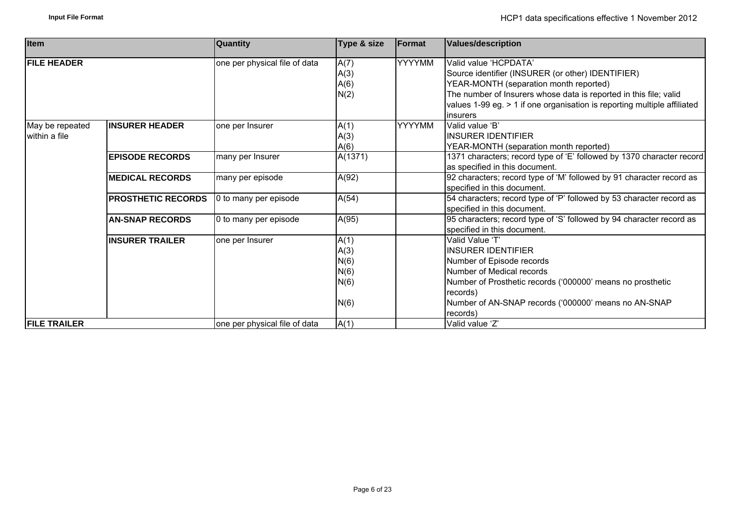| <b>Item</b>                      |                           | <b>Quantity</b>               | Type & size                                  | <b>IFormat</b> | <b>Values/description</b>                                                                                                                                                                                                                                                                |
|----------------------------------|---------------------------|-------------------------------|----------------------------------------------|----------------|------------------------------------------------------------------------------------------------------------------------------------------------------------------------------------------------------------------------------------------------------------------------------------------|
| <b>FILE HEADER</b>               |                           | one per physical file of data | A(7)<br>A(3)<br>A(6)<br>N(2)                 | <b>YYYYMM</b>  | Valid value 'HCPDATA'<br>Source identifier (INSURER (or other) IDENTIFIER)<br>YEAR-MONTH (separation month reported)<br>The number of Insurers whose data is reported in this file; valid<br>values 1-99 eg. > 1 if one organisation is reporting multiple affiliated<br><i>insurers</i> |
| May be repeated<br>within a file | <b>INSURER HEADER</b>     | one per Insurer               | A(1)<br>A(3)<br>A(6)                         | <b>YYYYMM</b>  | Valid value 'B'<br>IINSURER IDENTIFIER<br>YEAR-MONTH (separation month reported)                                                                                                                                                                                                         |
|                                  | <b>EPISODE RECORDS</b>    | many per Insurer              | A(1371)                                      |                | 1371 characters; record type of 'E' followed by 1370 character record<br>as specified in this document.                                                                                                                                                                                  |
|                                  | <b>MEDICAL RECORDS</b>    | many per episode              | A(92)                                        |                | 92 characters; record type of 'M' followed by 91 character record as<br>specified in this document.                                                                                                                                                                                      |
|                                  | <b>PROSTHETIC RECORDS</b> | 0 to many per episode         | A(54)                                        |                | 54 characters; record type of 'P' followed by 53 character record as<br>specified in this document.                                                                                                                                                                                      |
|                                  | <b>AN-SNAP RECORDS</b>    | 0 to many per episode         | A(95)                                        |                | 95 characters; record type of 'S' followed by 94 character record as<br>specified in this document.                                                                                                                                                                                      |
|                                  | <b>INSURER TRAILER</b>    | one per Insurer               | A(1)<br>A(3)<br>N(6)<br>N(6)<br>N(6)<br>N(6) |                | Valid Value 'T'<br><b>INSURER IDENTIFIER</b><br>Number of Episode records<br>Number of Medical records<br>Number of Prosthetic records ('000000' means no prosthetic<br>records)<br>Number of AN-SNAP records ('000000' means no AN-SNAP<br>records)                                     |
| <b>FILE TRAILER</b>              |                           | one per physical file of data | A(1)                                         |                | Valid value 'Z'                                                                                                                                                                                                                                                                          |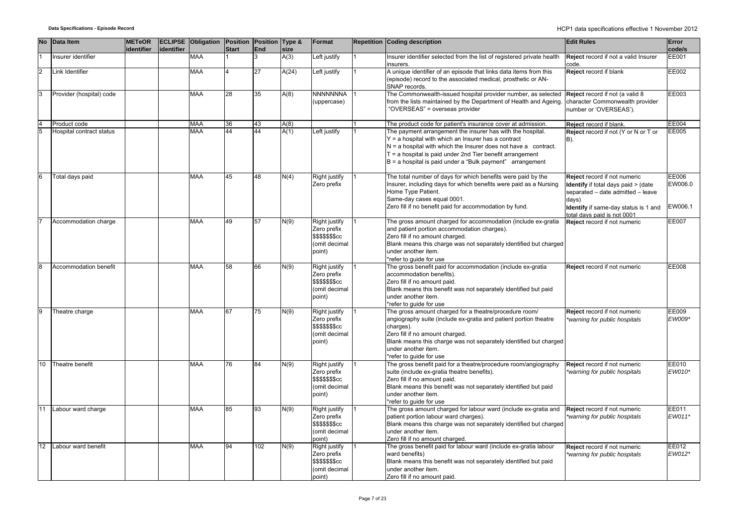|    | No Data Item             | <b>METeOR</b><br>identifier | identifier | <b>ECLIPSE</b> Obligation | Position<br><b>Start</b> | Position Type &<br>End | size  | Format                                                                             | <b>Repetition Coding description</b>                                                                                                                                                                                                                                                                                   | <b>Edit Rules</b>                                                                                                                                                                        | Error<br>code/s             |
|----|--------------------------|-----------------------------|------------|---------------------------|--------------------------|------------------------|-------|------------------------------------------------------------------------------------|------------------------------------------------------------------------------------------------------------------------------------------------------------------------------------------------------------------------------------------------------------------------------------------------------------------------|------------------------------------------------------------------------------------------------------------------------------------------------------------------------------------------|-----------------------------|
|    | nsurer identifier        |                             |            | <b>MAA</b>                |                          |                        | A(3)  | Left justify                                                                       | Insurer identifier selected from the list of registered private health<br>insurers.                                                                                                                                                                                                                                    | Reject record if not a valid Insurer<br>code.                                                                                                                                            | <b>EE001</b>                |
|    | Link Identifier          |                             |            | <b>MAA</b>                |                          | 27                     | A(24) | Left justify                                                                       | A unique identifier of an episode that links data items from this<br>(episode) record to the associated medical, prosthetic or AN-<br>SNAP records.                                                                                                                                                                    | Reject record if blank                                                                                                                                                                   | EE002                       |
| 3  | Provider (hospital) code |                             |            | <b>MAA</b>                | $\overline{28}$          | 35                     | A(8)  | <b>NNNNNNNA</b><br>(uppercase)                                                     | The Commonwealth-issued hospital provider number, as selected<br>from the lists maintained by the Department of Health and Ageing<br>"OVERSEAS" = overseas provider                                                                                                                                                    | Reject record if not (a valid 8<br>character Commonwealth provider<br>number or 'OVERSEAS').                                                                                             | EE003                       |
|    | Product code             |                             |            | <b>MAA</b>                | 36                       | 43                     | A(8)  |                                                                                    | The product code for patient's insurance cover at admission.                                                                                                                                                                                                                                                           | Reject record if blank.                                                                                                                                                                  | <b>EE004</b>                |
| 5  | Hospital contract status |                             |            | <b>MAA</b>                | 44                       | 44                     | A(1)  | Left justify                                                                       | The payment arrangement the insurer has with the hospital.<br>$Y = a$ hospital with which an Insurer has a contract<br>$N = a$ hospital with which the Insurer does not have a contract.<br>$T = a$ hospital is paid under 2nd Tier benefit arrangement<br>$B = a$ hospital is paid under a "Bulk payment" arrangement | Reject record if not (Y or N or T or<br>B).                                                                                                                                              | EE005                       |
|    | Total days paid          |                             |            | <b>MAA</b>                | 45                       | 48                     | N(4)  | Right justify<br>Zero prefix                                                       | The total number of days for which benefits were paid by the<br>Insurer, including days for which benefits were paid as a Nursing<br>Home Type Patient.<br>Same-day cases equal 0001.<br>Zero fill if no benefit paid for accommodation by fund.                                                                       | Reject record if not numeric<br>Identify if total days paid > (date<br>separated - date admitted - leave<br>days)<br>Identify if same-day status is 1 and<br>total days paid is not 0001 | EE006<br>EW006.0<br>EW006.1 |
|    | Accommodation charge     |                             |            | <b>MAA</b>                | 49                       | 57                     | N(9)  | <b>Right justify</b><br>Zero prefix<br>\$\$\$\$\$\$\$cc<br>(omit decimal<br>point) | The gross amount charged for accommodation (include ex-gratia<br>and patient portion accommodation charges).<br>Zero fill if no amount charged.<br>Blank means this charge was not separately identified but charged<br>under another item.<br>*refer to guide for use                                                 | Reject record if not numeric                                                                                                                                                             | <b>EE007</b>                |
|    | Accommodation benefit    |                             |            | <b>MAA</b>                | 58                       | 66                     | N(9)  | Right justify<br>Zero prefix<br>\$\$\$\$\$\$\$cc<br>(omit decimal<br>point)        | The gross benefit paid for accommodation (include ex-gratia<br>accommodation benefits).<br>Zero fill if no amount paid.<br>Blank means this benefit was not separately identified but paid<br>under another item.<br>*refer to quide for use                                                                           | Reject record if not numeric                                                                                                                                                             | <b>EE008</b>                |
|    | Theatre charge           |                             |            | <b>MAA</b>                | 67                       | $\overline{75}$        | N(9)  | Right justify<br>Zero prefix<br>\$\$\$\$\$\$\$cc<br>(omit decimal<br>point)        | The gross amount charged for a theatre/procedure room/<br>angiography suite (include ex-gratia and patient portion theatre<br>charges).<br>Zero fill if no amount charged.<br>Blank means this charge was not separately identified but charged<br>under another item.<br>*refer to quide for use                      | Reject record if not numeric<br>*warning for public hospitals                                                                                                                            | EE009<br>EW009*             |
| 10 | Theatre benefit          |                             |            | MAA                       | 76                       | 84                     | N(9)  | <b>Right justify</b><br>Zero prefix<br>\$\$\$\$\$\$\$cc<br>(omit decimal<br>point) | The gross benefit paid for a theatre/procedure room/angiography<br>suite (include ex-gratia theatre benefits).<br>Zero fill if no amount paid.<br>Blank means this benefit was not separately identified but paid<br>under another item.<br>*refer to quide for use                                                    | Reject record if not numeric<br>*warning for public hospitals                                                                                                                            | EE010<br>EW010*             |
| 11 | Labour ward charge       |                             |            | <b>MAA</b>                | 85                       | 93                     | N(9)  | <b>Right justify</b><br>Zero prefix<br>\$\$\$\$\$\$\$cc<br>(omit decimal<br>point) | The gross amount charged for labour ward (include ex-gratia and<br>patient portion labour ward charges).<br>Blank means this charge was not separately identified but charged<br>under another item.<br>Zero fill if no amount charged.                                                                                | Reject record if not numeric<br>warning for public hospitals                                                                                                                             | EE011<br>EW011*             |
| 12 | Labour ward benefit      |                             |            | <b>MAA</b>                | 94                       | 102                    | N(9)  | Right justify<br>Zero prefix<br>\$\$\$\$\$\$\$cc<br>(omit decimal<br>point)        | The gross benefit paid for labour ward (include ex-gratia labour<br>ward benefits)<br>Blank means this benefit was not separately identified but paid<br>under another item.<br>Zero fill if no amount paid                                                                                                            | Reject record if not numeric<br>*warning for public hospitals                                                                                                                            | EE012<br>EW012*             |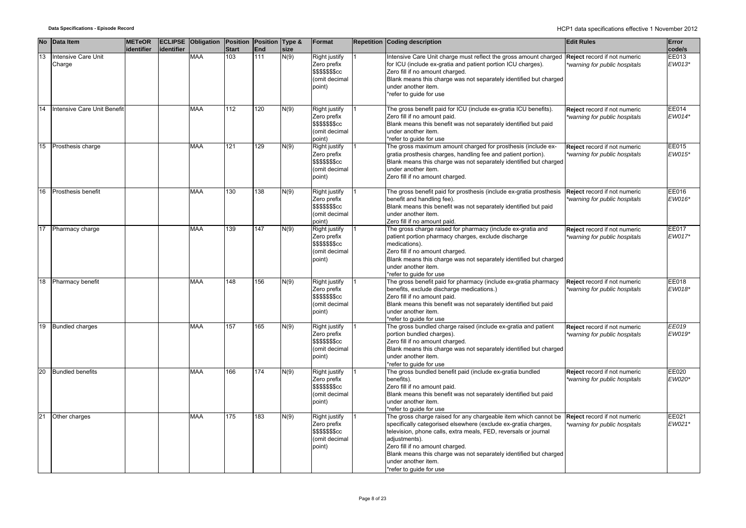|    | No Data Item                  | <b>METeOR</b><br>lidentifier | identifier | <b>ECLIPSE</b> Obligation | Position Position Type &<br><b>Start</b> | End              | size | Format                                                                             | <b>Repetition Coding description</b>                                                                                                                                                                                                                                                                                                                                            | <b>Edit Rules</b>                                             | Error<br>code/s |
|----|-------------------------------|------------------------------|------------|---------------------------|------------------------------------------|------------------|------|------------------------------------------------------------------------------------|---------------------------------------------------------------------------------------------------------------------------------------------------------------------------------------------------------------------------------------------------------------------------------------------------------------------------------------------------------------------------------|---------------------------------------------------------------|-----------------|
| 13 | Intensive Care Unit<br>Charge |                              |            | MAA                       | 103                                      | 111              | N(9) | Right justify<br>Zero prefix<br>\$\$\$\$\$\$\$cc<br>(omit decimal<br>point)        | ntensive Care Unit charge must reflect the gross amount charged<br>for ICU (include ex-gratia and patient portion ICU charges).<br>Zero fill if no amount charged.<br>Blank means this charge was not separately identified but charged<br>under another item.<br>*refer to quide for use                                                                                       | Reject record if not numeric<br>warning for public hospitals  | EE013<br>EW013* |
| 14 | Intensive Care Unit Benefit   |                              |            | <b>MAA</b>                | 112                                      | 120              | N(9) | Right justify<br>Zero prefix<br>\$\$\$\$\$\$\$cc<br>(omit decimal<br>point)        | The gross benefit paid for ICU (include ex-gratia ICU benefits).<br>Zero fill if no amount paid.<br>Blank means this benefit was not separately identified but paid<br>under another item.<br>*refer to quide for use                                                                                                                                                           | Reject record if not numeric<br>warning for public hospitals  | EE014<br>EW014* |
| 15 | Prosthesis charge             |                              |            | <b>MAA</b>                | 121                                      | 129              | N(9) | Right justify<br>Zero prefix<br>\$\$\$\$\$\$\$cc<br>(omit decimal<br>point)        | The gross maximum amount charged for prosthesis (include ex-<br>gratia prosthesis charges, handling fee and patient portion).<br>Blank means this charge was not separately identified but charged<br>under another item.<br>Zero fill if no amount charged.                                                                                                                    | Reject record if not numeric<br>warning for public hospitals  | EE015<br>EW015* |
| 16 | Prosthesis benefit            |                              |            | <b>MAA</b>                | 130                                      | 138              | N(9) | <b>Right justify</b><br>Zero prefix<br>\$\$\$\$\$\$\$cc<br>(omit decimal<br>point) | The gross benefit paid for prosthesis (include ex-gratia prosthesis<br>benefit and handling fee).<br>Blank means this benefit was not separately identified but paid<br>under another item.<br>Zero fill if no amount paid.                                                                                                                                                     | Reject record if not numeric<br>warning for public hospitals  | EE016<br>EW016* |
| 17 | Pharmacy charge               |                              |            | <b>MAA</b>                | 139                                      | 147              | N(9) | Right justify<br>Zero prefix<br>\$\$\$\$\$\$\$cc<br>(omit decimal<br>point)        | The gross charge raised for pharmacy (include ex-gratia and<br>patient portion pharmacy charges, exclude discharge<br>medications).<br>Zero fill if no amount charged.<br>Blank means this charge was not separately identified but charged<br>under another item.<br>*refer to quide for use                                                                                   | Reject record if not numeric<br>*warning for public hospitals | EE017<br>EW017* |
| 18 | Pharmacy benefit              |                              |            | MAA                       | 148                                      | 156              | N(9) | Right justify<br>Zero prefix<br>\$\$\$\$\$\$\$cc<br>(omit decimal<br>point)        | The gross benefit paid for pharmacy (include ex-gratia pharmacy<br>benefits, exclude discharge medications.)<br>Zero fill if no amount paid.<br>Blank means this benefit was not separately identified but paid<br>under another item.<br>*refer to guide for use                                                                                                               | Reject record if not numeric<br>*warning for public hospitals | EE018<br>EW018* |
|    | 19 Bundled charges            |                              |            | <b>MAA</b>                | 157                                      | 165              | N(9) | Right justify<br>Zero prefix<br>\$\$\$\$\$\$\$cc<br>(omit decimal<br>point)        | The gross bundled charge raised (include ex-gratia and patient<br>portion bundled charges).<br>Zero fill if no amount charged.<br>Blank means this charge was not separately identified but charged<br>under another item.<br>*refer to guide for use                                                                                                                           | Reject record if not numeric<br>*warning for public hospitals | EE019<br>EW019* |
| 20 | <b>Bundled benefits</b>       |                              |            | MAA                       | 166                                      | 174              | N(9) | <b>Right justify</b><br>Zero prefix<br>\$\$\$\$\$\$\$cc<br>(omit decimal<br>point) | The gross bundled benefit paid (include ex-gratia bundled<br>benefits).<br>Zero fill if no amount paid.<br>Blank means this benefit was not separately identified but paid<br>under another item.<br>*refer to guide for use                                                                                                                                                    | Reject record if not numeric<br>*warning for public hospitals | EE020<br>EW020* |
|    | 21 Other charges              |                              |            | MAA                       | 175                                      | $\overline{183}$ | N(9) | Right justify<br>Zero prefix<br>\$\$\$\$\$\$\$cc<br>(omit decimal<br>point)        | The gross charge raised for any chargeable item which cannot be<br>specifically categorised elsewhere (exclude ex-gratia charges,<br>television, phone calls, extra meals, FED, reversals or journal<br>adjustments).<br>Zero fill if no amount charged.<br>Blank means this charge was not separately identified but charged<br>under another item.<br>*refer to quide for use | Reject record if not numeric<br>warning for public hospitals  | EE021<br>EW021* |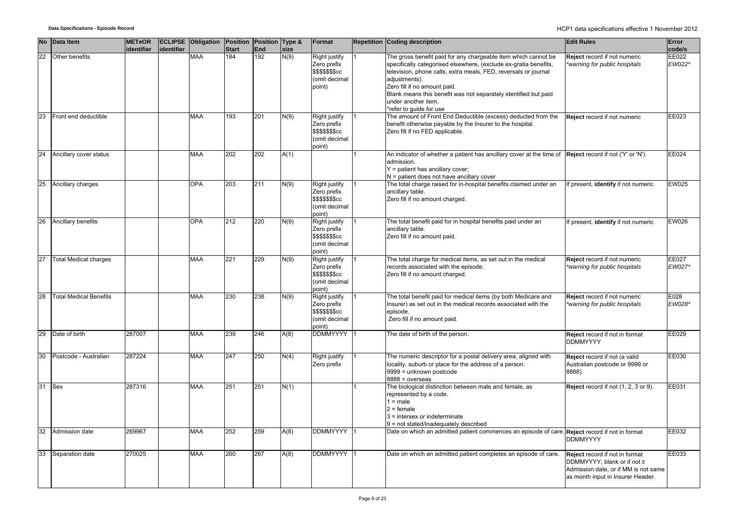|                 | No Data Item                  | <b>METeOR</b><br>identifier | identifier | <b>ECLIPSE</b> Obligation | <b>Position</b><br><b>Start</b> | Position Type &<br>End | size | Format                                                                             | <b>Repetition Coding description</b>                                                                                                                                                                                                                                                                                                                                        | <b>Edit Rules</b>                                                                                                                          | Error<br>code/s |
|-----------------|-------------------------------|-----------------------------|------------|---------------------------|---------------------------------|------------------------|------|------------------------------------------------------------------------------------|-----------------------------------------------------------------------------------------------------------------------------------------------------------------------------------------------------------------------------------------------------------------------------------------------------------------------------------------------------------------------------|--------------------------------------------------------------------------------------------------------------------------------------------|-----------------|
| $\overline{22}$ | Other benefits                |                             |            | <b>MAA</b>                | 184                             | 192                    | N(9) | Right justify<br>Zero prefix<br>\$\$\$\$\$\$\$cc<br>(omit decimal<br>point)        | The gross benefit paid for any chargeable item which cannot be<br>specifically categorised elsewhere, (exclude ex-gratia benefits,<br>television, phone calls, extra meals, FED, reversals or journal<br>adiustments).<br>Zero fill if no amount paid.<br>Blank means this benefit was not separately identified but paid<br>under another item.<br>*refer to guide for use | Reject record if not numeric<br>*warning for public hospitals                                                                              | EE022<br>EW022* |
| 23              | Front end deductible          |                             |            | <b>MAA</b>                | 193                             | 201                    | N(9) | Right justify<br>Zero prefix<br>\$\$\$\$\$\$\$cc<br>(omit decimal<br>point)        | The amount of Front End Deductible (excess) deducted from the<br>benefit otherwise payable by the Insurer to the hospital.<br>Zero fill if no FED applicable.                                                                                                                                                                                                               | Reject record if not numeric                                                                                                               | EE023           |
|                 | 24 Ancillary cover status     |                             |            | <b>MAA</b>                | 202                             | 202                    | A(1) |                                                                                    | An indicator of whether a patient has ancillary cover at the time of Reject record if not ('Y' or 'N').<br>admission.<br>Y = patient has ancillary cover;<br>N = patient does not have ancillary cover                                                                                                                                                                      |                                                                                                                                            | EE024           |
| 25              | Ancillary charges             |                             |            | <b>OPA</b>                | 203                             | 211                    | N(9) | Right justify<br>Zero prefix<br><b>\$\$\$\$\$\$\$cc</b><br>(omit decimal<br>point) | The total charge raised for in-hospital benefits claimed under an<br>ancillary table.<br>Zero fill if no amount charged.                                                                                                                                                                                                                                                    | If present, identify if not numeric                                                                                                        | EW025           |
| 26              | Ancillary benefits            |                             |            | <b>OPA</b>                | 212                             | 220                    | N(9) | Right justify<br>Zero prefix<br>\$\$\$\$\$\$\$cc<br>(omit decimal<br>point)        | The total benefit paid for in hospital benefits paid under an<br>ancillary table.<br>Zero fill if no amount paid.                                                                                                                                                                                                                                                           | If present, identify if not numeric                                                                                                        | EW026           |
| 27              | <b>Total Medical charges</b>  |                             |            | <b>MAA</b>                | 221                             | 229                    | N(9) | Right justify<br>Zero prefix<br>\$\$\$\$\$\$\$cc<br>(omit decimal<br>ooint)        | The total charge for medical items, as set out in the medical<br>records associated with the episode.<br>Zero fill if no amount charged.                                                                                                                                                                                                                                    | Reject record if not numeric<br>*warning for public hospitals                                                                              | EE027<br>EW027* |
| 28              | <b>Total Medical Benefits</b> |                             |            | MAA                       | 230                             | 238                    | N(9) | Right justify<br>Zero prefix<br>\$\$\$\$\$\$\$cc<br>(omit decimal<br>point)        | The total benefit paid for medical items (by both Medicare and<br>Insurer) as set out in the medical records associated with the<br>episode.<br>Zero fill if no amount paid.                                                                                                                                                                                                | Reject record if not numeric<br>*warning for public hospitals                                                                              | E028<br>EW028*  |
|                 | 29 Date of birth              | 287007                      |            | <b>MAA</b>                | 239                             | 246                    | A(8) | <b>DDMMYYYY</b>                                                                    | The date of birth of the person.                                                                                                                                                                                                                                                                                                                                            | Reject record if not in format<br><b>DDMMYYYY</b>                                                                                          | EE029           |
| 30              | Postcode - Australian         | 287224                      |            | <b>MAA</b>                | 247                             | 250                    | N(4) | <b>Right justify</b><br>Zero prefix                                                | The numeric descriptor for a postal delivery area, aligned with<br>locality, suburb or place for the address of a person.<br>9999 = unknown postcode<br>8888 = overseas                                                                                                                                                                                                     | Reject record if not (a valid<br>Australian postcode or 9999 or<br>8888).                                                                  | EE030           |
| 31              | Sex                           | 287316                      |            | <b>MAA</b>                | 251                             | 251                    | N(1) |                                                                                    | The biological distinction between male and female, as<br>represented by a code.<br>$1 = male$<br>$2 =$ female<br>3 = intersex or indeterminate<br>9 = not stated/inadequately described                                                                                                                                                                                    | Reject record if not (1, 2, 3 or 9).                                                                                                       | EE031           |
| 32              | Admission date                | 269967                      |            | <b>MAA</b>                | 252                             | 259                    | A(8) | <b>DDMMYYYY</b>                                                                    | Date on which an admitted patient commences an episode of care.                                                                                                                                                                                                                                                                                                             | Reject record if not in format<br><b>DDMMYYYY</b>                                                                                          | EE032           |
| 33              | Separation date               | 270025                      |            | <b>MAA</b>                | 260                             | 267                    | A(8) | DDMMYYYY                                                                           | Date on which an admitted patient completes an episode of care.                                                                                                                                                                                                                                                                                                             | Reject record if not in format<br>DDMMYYYY, blank or if not ≥<br>Admission date, or if MM is not same<br>as month input in Insurer Header. | EE033           |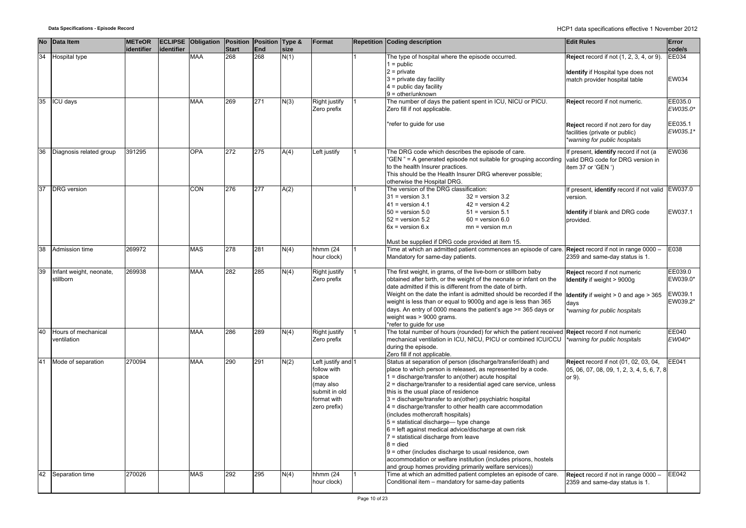| <b>No</b> | Data Item                            | <b>METeOR</b> |            | <b>ECLIPSE</b> Obligation | Position         | Position Type & |      | Format                                                                                                  | <b>Repetition Coding description</b>                                                                                                                                                                                                                                                                                                                                                                                                                                                                                                                                                                                                                                                                                                                                                                        | <b>Edit Rules</b>                                                                                                                                             | Error                                      |
|-----------|--------------------------------------|---------------|------------|---------------------------|------------------|-----------------|------|---------------------------------------------------------------------------------------------------------|-------------------------------------------------------------------------------------------------------------------------------------------------------------------------------------------------------------------------------------------------------------------------------------------------------------------------------------------------------------------------------------------------------------------------------------------------------------------------------------------------------------------------------------------------------------------------------------------------------------------------------------------------------------------------------------------------------------------------------------------------------------------------------------------------------------|---------------------------------------------------------------------------------------------------------------------------------------------------------------|--------------------------------------------|
|           |                                      | identifier    | identifier |                           | <b>Start</b>     | End             | size |                                                                                                         |                                                                                                                                                                                                                                                                                                                                                                                                                                                                                                                                                                                                                                                                                                                                                                                                             |                                                                                                                                                               | code/s                                     |
| 34        | Hospital type                        |               |            | <b>MAA</b>                | 268              | 268             | N(1) |                                                                                                         | The type of hospital where the episode occurred.<br>$1 = \text{public}$<br>$2 = private$<br>$3$ = private day facility<br>$4 =$ public day facility<br>$9 =$ other/unknown                                                                                                                                                                                                                                                                                                                                                                                                                                                                                                                                                                                                                                  | <b>Reject</b> record if not (1, 2, 3, 4, or 9).<br>Identify if Hospital type does not<br>match provider hospital table                                        | EE034<br>EW034                             |
|           | 35 ICU days                          |               |            | <b>MAA</b>                | 269              | 271             | N(3) | Right justify<br>Zero prefix                                                                            | The number of days the patient spent in ICU, NICU or PICU.<br>Zero fill if not applicable.                                                                                                                                                                                                                                                                                                                                                                                                                                                                                                                                                                                                                                                                                                                  | Reject record if not numeric.                                                                                                                                 | EE035.0<br>EW035.0*                        |
|           |                                      |               |            |                           |                  |                 |      |                                                                                                         | *refer to guide for use                                                                                                                                                                                                                                                                                                                                                                                                                                                                                                                                                                                                                                                                                                                                                                                     | Reject record if not zero for day<br>facilities (private or public)<br>*warning for public hospitals                                                          | EE035.1<br>EW035.1*                        |
| 36        | Diagnosis related group              | 391295        |            | <b>OPA</b>                | $\overline{272}$ | 275             | A(4) | Left justify                                                                                            | The DRG code which describes the episode of care.<br>"GEN" = A generated episode not suitable for grouping according<br>to the health Insurer practices.<br>This should be the Health Insurer DRG wherever possible;<br>otherwise the Hospital DRG.                                                                                                                                                                                                                                                                                                                                                                                                                                                                                                                                                         | If present, identify record if not (a<br>valid DRG code for DRG version in<br>item 37 or 'GEN ')                                                              | EW036                                      |
| 37        | <b>DRG</b> version                   |               |            | CON                       | 276              | 277             | A(2) |                                                                                                         | The version of the DRG classification:<br>$31$ = version 3.1<br>$32$ = version $3.2$<br>$42$ = version 4.2<br>$41$ = version 4.1<br>$50$ = version $5.0$<br>$51$ = version $5.1$<br>$52$ = version $5.2$<br>$60$ = version $6.0$<br>$6x = version 6.x$<br>$mn = version m.n$<br>Must be supplied if DRG code provided at item 15.                                                                                                                                                                                                                                                                                                                                                                                                                                                                           | If present, identify record if not valid EW037.0<br>version.<br>Identify if blank and DRG code<br>provided.                                                   | EW037.1                                    |
| 38        | Admission time                       | 269972        |            | <b>MAS</b>                | 278              | 281             | N(4) | hhmm (24<br>hour clock)                                                                                 | Time at which an admitted patient commences an episode of care. <b>Reject</b> record if not in range 0000 -<br>Mandatory for same-day patients.                                                                                                                                                                                                                                                                                                                                                                                                                                                                                                                                                                                                                                                             | 2359 and same-day status is 1.                                                                                                                                | E038                                       |
| 39        | Infant weight, neonate,<br>stillborn | 269938        |            | <b>MAA</b>                | 282              | 285             | N(4) | <b>Right justify</b><br>Zero prefix                                                                     | The first weight, in grams, of the live-born or stillborn baby<br>obtained after birth, or the weight of the neonate or infant on the<br>date admitted if this is different from the date of birth.<br>Weight on the date the infant is admitted should be recorded if the<br>weight is less than or equal to 9000g and age is less than 365<br>days. An entry of 0000 means the patient's age >= 365 days or<br>weight was > 9000 grams.<br>refer to quide for use                                                                                                                                                                                                                                                                                                                                         | Reject record if not numeric<br><b>Identify</b> if weight > 9000g<br><b>Identify</b> if weight $> 0$ and age $> 365$<br>days<br>*warning for public hospitals | EE039.0<br>EW039.0*<br>EW039.1<br>EW039.2* |
| 40        | Hours of mechanical<br>ventilation   |               |            | <b>MAA</b>                | 286              | 289             | N(4) | Right justify<br>Zero prefix                                                                            | The total number of hours (rounded) for which the patient received Reject record if not numeric<br>mechanical ventilation in ICU, NICU, PICU or combined ICU/CCU<br>during the episode.<br>Zero fill if not applicable.                                                                                                                                                                                                                                                                                                                                                                                                                                                                                                                                                                                     | *warning for public hospitals                                                                                                                                 | EE040<br>EW040*                            |
| 41        | Mode of separation                   | 270094        |            | <b>MAA</b>                | 290              | 291             | N(2) | Left justify and 1<br>follow with<br>space<br>(may also<br>submit in old<br>format with<br>zero prefix) | Status at separation of person (discharge/transfer/death) and<br>place to which person is released, as represented by a code.<br>1 = discharge/transfer to an(other) acute hospital<br>2 = discharge/transfer to a residential aged care service, unless<br>this is the usual place of residence<br>3 = discharge/transfer to an(other) psychiatric hospital<br>4 = discharge/transfer to other health care accommodation<br>(includes mothercraft hospitals)<br>5 = statistical discharge-type change<br>6 = left against medical advice/discharge at own risk<br>7 = statistical discharge from leave<br>$8 =$ died<br>9 = other (includes discharge to usual residence, own<br>accommodation or welfare institution (includes prisons, hostels<br>and group homes providing primarily welfare services)) | <b>Reject</b> record if not (01, 02, 03, 04,<br>05, 06, 07, 08, 09, 1, 2, 3, 4, 5, 6, 7, 8<br>or 9).                                                          | EE041                                      |
| 42        | Separation time                      | 270026        |            | <b>MAS</b>                | 292              | 295             | N(4) | hhmm (24<br>hour clock)                                                                                 | Time at which an admitted patient completes an episode of care.<br>Conditional item - mandatory for same-day patients                                                                                                                                                                                                                                                                                                                                                                                                                                                                                                                                                                                                                                                                                       | Reject record if not in range 0000 -<br>2359 and same-day status is 1.                                                                                        | <b>EE042</b>                               |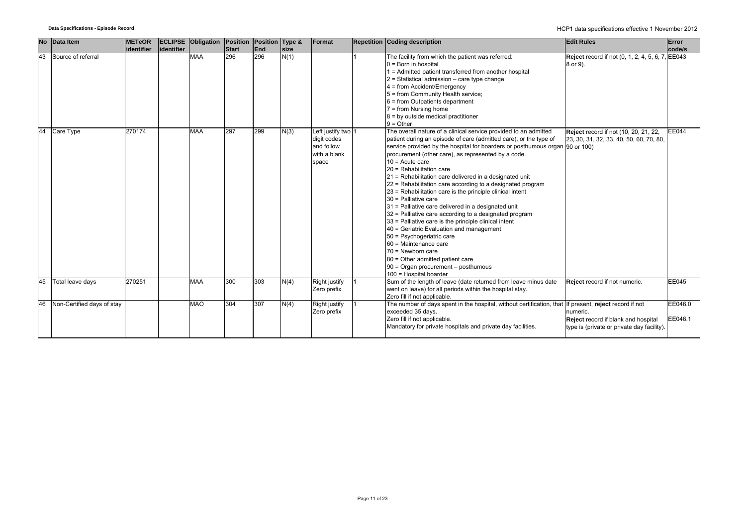|    | No Data Item               | <b>METeOR</b> |             | <b>ECLIPSE Obligation Position</b> |              | Position Type & |      | Format                                                                   | <b>Repetition Coding description</b>                                                                                                                                                                                                                                                                                                                                                                                                                                                                                                                                                                                                                                                                                                                                                                                                                                                                                                                 | <b>Edit Rules</b>                                                                                                                 | Error              |
|----|----------------------------|---------------|-------------|------------------------------------|--------------|-----------------|------|--------------------------------------------------------------------------|------------------------------------------------------------------------------------------------------------------------------------------------------------------------------------------------------------------------------------------------------------------------------------------------------------------------------------------------------------------------------------------------------------------------------------------------------------------------------------------------------------------------------------------------------------------------------------------------------------------------------------------------------------------------------------------------------------------------------------------------------------------------------------------------------------------------------------------------------------------------------------------------------------------------------------------------------|-----------------------------------------------------------------------------------------------------------------------------------|--------------------|
|    |                            | identifier    | lidentifier |                                    | <b>Start</b> | End             | size |                                                                          |                                                                                                                                                                                                                                                                                                                                                                                                                                                                                                                                                                                                                                                                                                                                                                                                                                                                                                                                                      |                                                                                                                                   | code/s             |
| 43 | Source of referral         |               |             | <b>MAA</b>                         | 296          | 296             | N(1) |                                                                          | The facility from which the patient was referred:<br>$0 = Born$ in hospital<br>1 = Admitted patient transferred from another hospital<br>$2$ = Statistical admission – care type change<br>4 = from Accident/Emergency<br>5 = from Community Health service;<br>$6$ = from Outpatients department<br>$7 = from Nursing home$<br>$8 = by outside medical practitioner$<br>$9 = Other$                                                                                                                                                                                                                                                                                                                                                                                                                                                                                                                                                                 | Reject record if not (0, 1, 2, 4, 5, 6, 7, EE043<br>8 or 9).                                                                      |                    |
| 44 | Care Type                  | 270174        |             | <b>MAA</b>                         | 297          | 299             | N(3) | Left justify two 1<br>digit codes<br>and follow<br>with a blank<br>space | The overall nature of a clinical service provided to an admitted<br>patient during an episode of care (admitted care), or the type of<br>service provided by the hospital for boarders or posthumous organ [90 or 100)<br>procurement (other care), as represented by a code.<br>$10 =$ Acute care<br>20 = Rehabilitation care<br>21 = Rehabilitation care delivered in a designated unit<br>22 = Rehabilitation care according to a designated program<br>23 = Rehabilitation care is the principle clinical intent<br>30 = Palliative care<br>31 = Palliative care delivered in a designated unit<br>32 = Palliative care according to a designated program<br>33 = Palliative care is the principle clinical intent<br>40 = Geriatric Evaluation and management<br>50 = Psychogeriatric care<br>60 = Maintenance care<br>$70$ = Newborn care<br>80 = Other admitted patient care<br>90 = Organ procurement - posthumous<br>100 = Hospital boarder | Reject record if not (10, 20, 21, 22,<br>23, 30, 31, 32, 33, 40, 50, 60, 70, 80,                                                  | <b>EE044</b>       |
| 45 | Total leave days           | 270251        |             | <b>MAA</b>                         | 300          | 303             | N(4) | Right justify<br>Zero prefix                                             | Sum of the length of leave (date returned from leave minus date<br>went on leave) for all periods within the hospital stay.<br>Zero fill if not applicable.                                                                                                                                                                                                                                                                                                                                                                                                                                                                                                                                                                                                                                                                                                                                                                                          | Reject record if not numeric.                                                                                                     | <b>EE045</b>       |
| 46 | Non-Certified days of stay |               |             | <b>MAO</b>                         | 304          | 307             | N(4) | Right justify<br>Zero prefix                                             | The number of days spent in the hospital, without certification, that<br>exceeded 35 days.<br>Zero fill if not applicable.<br>Mandatory for private hospitals and private day facilities.                                                                                                                                                                                                                                                                                                                                                                                                                                                                                                                                                                                                                                                                                                                                                            | If present, reject record if not<br>numeric.<br>Reject record if blank and hospital<br>type is (private or private day facility). | EE046.0<br>EE046.1 |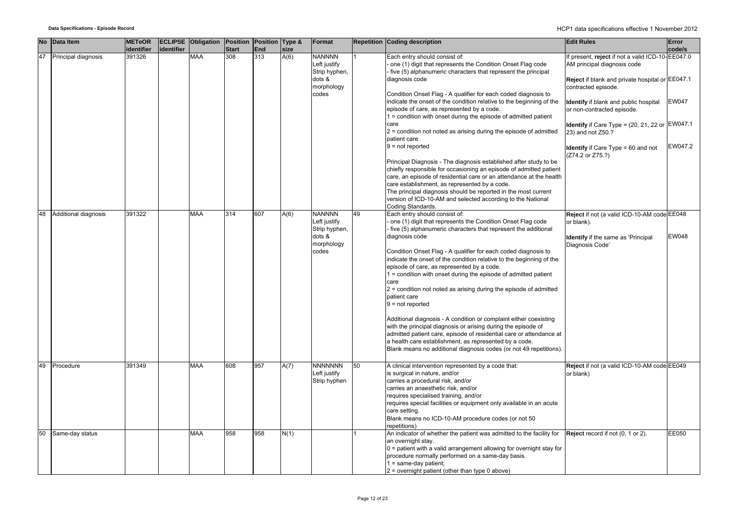| <b>No</b> | Data Item            | <b>METeOR</b><br>identifier | identifier | <b>ECLIPSE Obligation Position</b> | <b>Start</b> | Position Type &<br>End | size | Format                                                                          |    | <b>Repetition Coding description</b>                                                                                                                                                                                                                                                                                                                                                                                                                                                                                                                                                                                                                                                                                                                                                                                                                                                                          | <b>Edit Rules</b>                                                                                                                                         | Error<br>code/s |
|-----------|----------------------|-----------------------------|------------|------------------------------------|--------------|------------------------|------|---------------------------------------------------------------------------------|----|---------------------------------------------------------------------------------------------------------------------------------------------------------------------------------------------------------------------------------------------------------------------------------------------------------------------------------------------------------------------------------------------------------------------------------------------------------------------------------------------------------------------------------------------------------------------------------------------------------------------------------------------------------------------------------------------------------------------------------------------------------------------------------------------------------------------------------------------------------------------------------------------------------------|-----------------------------------------------------------------------------------------------------------------------------------------------------------|-----------------|
| 47        | Principal diagnosis  | 391326                      |            | <b>MAA</b>                         | 308          | 313                    | A(6) | <b>NANNNN</b><br>Left justify<br>Strip hyphen,<br>dots &<br>morphology<br>codes |    | Each entry should consist of:<br>one (1) digit that represents the Condition Onset Flag code<br>five (5) alphanumeric characters that represent the principal<br>diagnosis code<br>Condition Onset Flag - A qualifier for each coded diagnosis to                                                                                                                                                                                                                                                                                                                                                                                                                                                                                                                                                                                                                                                             | If present, reject if not a valid ICD-10-EE047.0<br>AM principal diagnosis code<br>Reject if blank and private hospital or EE047.1<br>contracted episode. |                 |
|           |                      |                             |            |                                    |              |                        |      |                                                                                 |    | indicate the onset of the condition relative to the beginning of the<br>episode of care, as represented by a code.<br>1 = condition with onset during the episode of admitted patient<br>care<br>$2$ = condition not noted as arising during the episode of admitted                                                                                                                                                                                                                                                                                                                                                                                                                                                                                                                                                                                                                                          | Identify if blank and public hospital<br>or non-contracted episode.<br>Identify if Care Type = $(20, 21, 22 \text{ or } E W 047.1$<br>23) and not Z50.?   | <b>EW047</b>    |
|           |                      |                             |            |                                    |              |                        |      |                                                                                 |    | patient care<br>$9 = not reported$<br>Principal Diagnosis - The diagnosis established after study to be<br>chiefly responsible for occasioning an episode of admitted patient<br>care, an episode of residential care or an attendance at the health                                                                                                                                                                                                                                                                                                                                                                                                                                                                                                                                                                                                                                                          | <b>Identify</b> if Care Type = 60 and not<br>(Z74.2 or Z75.?)                                                                                             | EW047.2         |
|           |                      |                             |            |                                    |              |                        |      |                                                                                 |    | care establishment, as represented by a code.<br>The principal diagnosis should be reported in the most current<br>version of ICD-10-AM and selected according to the National<br>Coding Standards.                                                                                                                                                                                                                                                                                                                                                                                                                                                                                                                                                                                                                                                                                                           |                                                                                                                                                           |                 |
| 48        | Additional diagnosis | 391322                      |            | <b>MAA</b>                         | 314          | 607                    | A(6) | <b>NANNNN</b><br>Left justify<br>Strip hyphen,<br>dots &<br>morphology<br>codes | 49 | Each entry should consist of:<br>one (1) digit that represents the Condition Onset Flag code<br>five (5) alphanumeric characters that represent the additional<br>diagnosis code<br>Condition Onset Flag - A qualifier for each coded diagnosis to<br>indicate the onset of the condition relative to the beginning of the<br>episode of care, as represented by a code.<br>1 = condition with onset during the episode of admitted patient<br>care<br>$2$ = condition not noted as arising during the episode of admitted<br>patient care<br>$9 = not reported$<br>Additional diagnosis - A condition or complaint either coexisting<br>with the principal diagnosis or arising during the episode of<br>admitted patient care, episode of residential care or attendance at<br>a health care establishment, as represented by a code.<br>Blank means no additional diagnosis codes (or not 49 repetitions). | Reject if not (a valid ICD-10-AM code EE048<br>or blank).<br><b>Identify</b> if the same as 'Principal<br>Diagnosis Code'                                 | <b>EW048</b>    |
| 49        | Procedure            | 391349                      |            | <b>MAA</b>                         | 608          | 957                    | A(7) | <b>NNNNNNN</b><br>Left justify<br>Strip hyphen                                  | 50 | A clinical intervention represented by a code that:<br>is surgical in nature, and/or<br>carries a procedural risk, and/or<br>carries an anaesthetic risk, and/or<br>requires specialised training, and/or<br>requires special facilities or equipment only available in an acute<br>care setting.<br>Blank means no ICD-10-AM procedure codes (or not 50<br>repetitions)                                                                                                                                                                                                                                                                                                                                                                                                                                                                                                                                      | Reject if not (a valid ICD-10-AM code EE049<br>or blank)                                                                                                  |                 |
| 50        | Same-day status      |                             |            | <b>MAA</b>                         | 958          | 958                    | N(1) |                                                                                 |    | An indicator of whether the patient was admitted to the facility for<br>an overnight stay.<br>$0$ = patient with a valid arrangement allowing for overnight stay for<br>procedure normally performed on a same-day basis.<br>$1 = same-day patient;$<br>$2$ = overnight patient (other than type 0 above)                                                                                                                                                                                                                                                                                                                                                                                                                                                                                                                                                                                                     | Reject record if not (0, 1 or 2).                                                                                                                         | EE050           |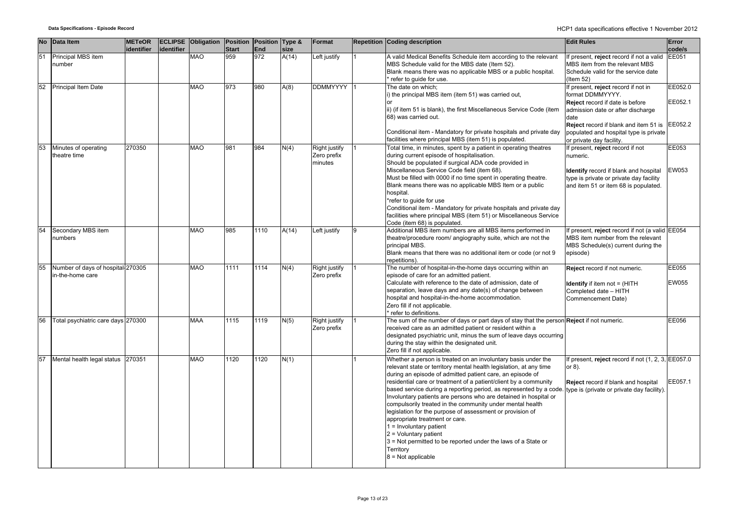**Data Specifications - Episode Record** HCP1 data specifications effective 1 November 2012

|    | No Data Item                       | <b>METeOR</b> |            | <b>ECLIPSE Obligation Position Position Type &amp;</b> |                     |            |               | Format                       |   | <b>Repetition Coding description</b>                                                                            | <b>Edit Rules</b>                                                     | Error                  |
|----|------------------------------------|---------------|------------|--------------------------------------------------------|---------------------|------------|---------------|------------------------------|---|-----------------------------------------------------------------------------------------------------------------|-----------------------------------------------------------------------|------------------------|
| 51 |                                    | identifier    | identifier | <b>OAM</b>                                             | <b>Start</b><br>959 | End<br>972 | size<br>A(14) |                              |   | A valid Medical Benefits Schedule item according to the relevant                                                |                                                                       | code/s<br><b>EE051</b> |
|    | Principal MBS item<br>number       |               |            |                                                        |                     |            |               | Left justify                 |   |                                                                                                                 | If present, reject record if not a valid                              |                        |
|    |                                    |               |            |                                                        |                     |            |               |                              |   | MBS Schedule valid for the MBS date (Item 52).<br>Blank means there was no applicable MBS or a public hospital. | MBS item from the relevant MBS<br>Schedule valid for the service date |                        |
|    |                                    |               |            |                                                        |                     |            |               |                              |   | refer to quide for use.                                                                                         | $($ ltem 52 $)$                                                       |                        |
|    | 52 Principal Item Date             |               |            | <b>MAO</b>                                             | 973                 | 980        |               | DDMMYYYY 11                  |   | The date on which;                                                                                              |                                                                       | EE052.0                |
|    |                                    |               |            |                                                        |                     |            | A(8)          |                              |   | i) the principal MBS item (item 51) was carried out,                                                            | If present, reject record if not in<br>format DDMMYYYY.               |                        |
|    |                                    |               |            |                                                        |                     |            |               |                              |   |                                                                                                                 | Reject record if date is before                                       | EE052.1                |
|    |                                    |               |            |                                                        |                     |            |               |                              |   | ii) (if item 51 is blank), the first Miscellaneous Service Code (item                                           | admission date or after discharge                                     |                        |
|    |                                    |               |            |                                                        |                     |            |               |                              |   | 68) was carried out.                                                                                            | date                                                                  |                        |
|    |                                    |               |            |                                                        |                     |            |               |                              |   |                                                                                                                 | Reject record if blank and item 51 is                                 | EE052.2                |
|    |                                    |               |            |                                                        |                     |            |               |                              |   | Conditional item - Mandatory for private hospitals and private day                                              | populated and hospital type is private                                |                        |
|    |                                    |               |            |                                                        |                     |            |               |                              |   | facilities where principal MBS (item 51) is populated.                                                          | or private day facility.                                              |                        |
| 53 | Minutes of operating               | 270350        |            | <b>MAO</b>                                             | 981                 | 984        | N(4)          | Right justify                |   | Total time, in minutes, spent by a patient in operating theatres                                                | If present, reject record if not                                      | EE053                  |
|    | theatre time                       |               |            |                                                        |                     |            |               | Zero prefix                  |   | during current episode of hospitalisation.                                                                      | numeric.                                                              |                        |
|    |                                    |               |            |                                                        |                     |            |               | minutes                      |   | Should be populated if surgical ADA code provided in                                                            |                                                                       |                        |
|    |                                    |               |            |                                                        |                     |            |               |                              |   | Miscellaneous Service Code field (item 68).                                                                     | Identify record if blank and hospital                                 | EW053                  |
|    |                                    |               |            |                                                        |                     |            |               |                              |   | Must be filled with 0000 if no time spent in operating theatre.                                                 | type is private or private day facility                               |                        |
|    |                                    |               |            |                                                        |                     |            |               |                              |   | Blank means there was no applicable MBS Item or a public                                                        | and item 51 or item 68 is populated.                                  |                        |
|    |                                    |               |            |                                                        |                     |            |               |                              |   | hospital.                                                                                                       |                                                                       |                        |
|    |                                    |               |            |                                                        |                     |            |               |                              |   | *refer to guide for use                                                                                         |                                                                       |                        |
|    |                                    |               |            |                                                        |                     |            |               |                              |   | Conditional item - Mandatory for private hospitals and private day                                              |                                                                       |                        |
|    |                                    |               |            |                                                        |                     |            |               |                              |   | facilities where principal MBS (item 51) or Miscellaneous Service                                               |                                                                       |                        |
|    |                                    |               |            |                                                        |                     |            |               |                              |   | Code (item 68) is populated.                                                                                    |                                                                       |                        |
| 54 | Secondary MBS item                 |               |            | <b>MAO</b>                                             | 985                 | 1110       | A(14)         | Left justify                 | 9 | Additional MBS item numbers are all MBS items performed in                                                      | f present, reject record if not (a valid EE054                        |                        |
|    | numbers                            |               |            |                                                        |                     |            |               |                              |   | theatre/procedure room/ angiography suite, which are not the                                                    | MBS item number from the relevant                                     |                        |
|    |                                    |               |            |                                                        |                     |            |               |                              |   | principal MBS.                                                                                                  | MBS Schedule(s) current during the                                    |                        |
|    |                                    |               |            |                                                        |                     |            |               |                              |   | Blank means that there was no additional item or code (or not 9                                                 | episode)                                                              |                        |
| 55 | Number of days of hospital 270305  |               |            | <b>MAO</b>                                             | 1111                | 1114       |               |                              |   | repetitions).<br>The number of hospital-in-the-home days occurring within an                                    |                                                                       | EE055                  |
|    | in-the-home care                   |               |            |                                                        |                     |            | N(4)          | Right justify<br>Zero prefix |   | episode of care for an admitted patient.                                                                        | Reject record if not numeric.                                         |                        |
|    |                                    |               |            |                                                        |                     |            |               |                              |   | Calculate with reference to the date of admission, date of                                                      |                                                                       | <b>EW055</b>           |
|    |                                    |               |            |                                                        |                     |            |               |                              |   | separation, leave days and any date(s) of change between                                                        | <b>Identify</b> if item not = (HITH<br>Completed date - HITH          |                        |
|    |                                    |               |            |                                                        |                     |            |               |                              |   | hospital and hospital-in-the-home accommodation.                                                                | Commencement Date)                                                    |                        |
|    |                                    |               |            |                                                        |                     |            |               |                              |   | Zero fill if not applicable.                                                                                    |                                                                       |                        |
|    |                                    |               |            |                                                        |                     |            |               |                              |   | refer to definitions.                                                                                           |                                                                       |                        |
| 56 | Total psychiatric care days 270300 |               |            | <b>MAA</b>                                             | 1115                | 1119       | N(5)          | Right justify                |   | The sum of the number of days or part days of stay that the person <b>Reject</b> if not numeric.                |                                                                       | EE056                  |
|    |                                    |               |            |                                                        |                     |            |               | Zero prefix                  |   | received care as an admitted patient or resident within a                                                       |                                                                       |                        |
|    |                                    |               |            |                                                        |                     |            |               |                              |   | designated psychiatric unit, minus the sum of leave days occurring                                              |                                                                       |                        |
|    |                                    |               |            |                                                        |                     |            |               |                              |   | during the stay within the designated unit.                                                                     |                                                                       |                        |
|    |                                    |               |            |                                                        |                     |            |               |                              |   | Zero fill if not applicable.                                                                                    |                                                                       |                        |
| 57 | Mental health legal status 270351  |               |            | <b>MAO</b>                                             | 1120                | 1120       | N(1)          |                              |   | Whether a person is treated on an involuntary basis under the                                                   | If present, reject record if not (1, 2, 3, EE057.0                    |                        |
|    |                                    |               |            |                                                        |                     |            |               |                              |   | relevant state or territory mental health legislation, at any time                                              | or $8$ ).                                                             |                        |
|    |                                    |               |            |                                                        |                     |            |               |                              |   | during an episode of admitted patient care, an episode of                                                       |                                                                       |                        |
|    |                                    |               |            |                                                        |                     |            |               |                              |   | residential care or treatment of a patient/client by a community                                                | Reject record if blank and hospital                                   | EE057.1                |
|    |                                    |               |            |                                                        |                     |            |               |                              |   | based service during a reporting period, as represented by a code                                               | type is (private or private day facility).                            |                        |
|    |                                    |               |            |                                                        |                     |            |               |                              |   | Involuntary patients are persons who are detained in hospital or                                                |                                                                       |                        |
|    |                                    |               |            |                                                        |                     |            |               |                              |   | compulsorily treated in the community under mental health                                                       |                                                                       |                        |
|    |                                    |               |            |                                                        |                     |            |               |                              |   | legislation for the purpose of assessment or provision of                                                       |                                                                       |                        |
|    |                                    |               |            |                                                        |                     |            |               |                              |   | appropriate treatment or care.                                                                                  |                                                                       |                        |
|    |                                    |               |            |                                                        |                     |            |               |                              |   | $1 =$ Involuntary patient                                                                                       |                                                                       |                        |
|    |                                    |               |            |                                                        |                     |            |               |                              |   | $2 =$ Voluntary patient                                                                                         |                                                                       |                        |
|    |                                    |               |            |                                                        |                     |            |               |                              |   | 3 = Not permitted to be reported under the laws of a State or                                                   |                                                                       |                        |
|    |                                    |               |            |                                                        |                     |            |               |                              |   | Territory                                                                                                       |                                                                       |                        |
|    |                                    |               |            |                                                        |                     |            |               |                              |   | $8 = Not applicable$                                                                                            |                                                                       |                        |
|    |                                    |               |            |                                                        |                     |            |               |                              |   |                                                                                                                 |                                                                       |                        |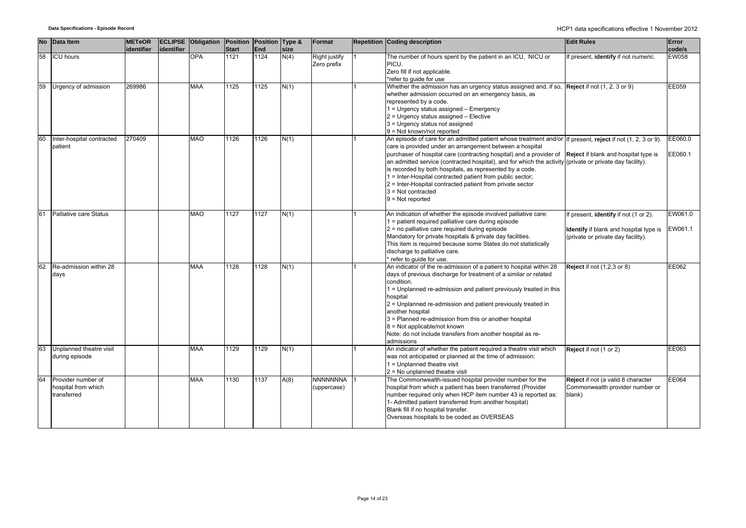|    | No Data Item                                             | <b>METeOR</b> |            | <b>ECLIPSE Obligation Position Position Type &amp;</b> |              |      |      | Format                         | <b>Repetition Coding description</b>                                                                                                                                                                                                                                                                                                                                                                                                                                                                                                                                                                                                | <b>Edit Rules</b>                                                                                                     | Error              |
|----|----------------------------------------------------------|---------------|------------|--------------------------------------------------------|--------------|------|------|--------------------------------|-------------------------------------------------------------------------------------------------------------------------------------------------------------------------------------------------------------------------------------------------------------------------------------------------------------------------------------------------------------------------------------------------------------------------------------------------------------------------------------------------------------------------------------------------------------------------------------------------------------------------------------|-----------------------------------------------------------------------------------------------------------------------|--------------------|
|    |                                                          | identifier    | identifier |                                                        | <b>Start</b> | End  | size |                                |                                                                                                                                                                                                                                                                                                                                                                                                                                                                                                                                                                                                                                     |                                                                                                                       | code/s             |
| 58 | <b>ICU hours</b>                                         |               |            | <b>OPA</b>                                             | 1121         | 1124 | N(4) | Right justify<br>Zero prefix   | The number of hours spent by the patient in an ICU, NICU or<br>PICU.<br>Zero fill if not applicable.<br>*refer to quide for use                                                                                                                                                                                                                                                                                                                                                                                                                                                                                                     | If present, identify if not numeric.                                                                                  | <b>EW058</b>       |
| 59 | Urgency of admission                                     | 269986        |            | <b>MAA</b>                                             | 1125         | 1125 | N(1) |                                | Whether the admission has an urgency status assigned and, if so, $\sqrt{Reject}$ if not (1, 2, 3 or 9)<br>whether admission occurred on an emergency basis, as<br>represented by a code.<br>1 = Urgency status assigned - Emergency<br>2 = Urgency status assigned - Elective<br>3 = Urgency status not assigned<br>9 = Not known/not reported                                                                                                                                                                                                                                                                                      |                                                                                                                       | <b>EE059</b>       |
| 60 | Inter-hospital contracted<br>patient                     | 270409        |            | <b>MAO</b>                                             | 1126         | 1126 | N(1) |                                | An episode of care for an admitted patient whose treatment and/or If present, reject if not (1, 2, 3 or 9).<br>care is provided under an arrangement between a hospital<br>purchaser of hospital care (contracting hospital) and a provider of Reject if blank and hospital type is<br>an admitted service (contracted hospital), and for which the activity (private or private day facility).<br>is recorded by both hospitals, as represented by a code.<br>1 = Inter-Hospital contracted patient from public sector;<br>2 = Inter-Hospital contracted patient from private sector<br>$3$ = Not contracted<br>$9 = Not reported$ |                                                                                                                       | EE060.0<br>EE060.1 |
| 61 | Palliative care Status                                   |               |            | <b>MAO</b>                                             | 1127         | 1127 | N(1) |                                | An indication of whether the episode involved palliative care:<br>1 = patient required palliative care during episode<br>2 = no palliative care required during episode<br>Mandatory for private hospitals & private day facilities.<br>This item is required because some States do not statistically<br>discharge to palliative care.<br>refer to quide for use.                                                                                                                                                                                                                                                                  | If present, identify if not (1 or 2).<br>Identify if blank and hospital type is<br>(private or private day facility). | EW061.0<br>EW061.1 |
| 62 | Re-admission within 28<br>days                           |               |            | <b>MAA</b>                                             | 1128         | 1128 | N(1) |                                | An indicator of the re-admission of a patient to hospital within 28<br>days of previous discharge for treatment of a similar or related<br>condition.<br>1 = Unplanned re-admission and patient previously treated in this<br>hospital<br>2 = Unplanned re-admission and patient previously treated in<br>another hospital<br>3 = Planned re-admission from this or another hospital<br>$8$ = Not applicable/not known<br>Note: do not include transfers from another hospital as re-<br>admissions                                                                                                                                 | <b>Reject</b> if not (1,2,3 or 8)                                                                                     | EE062              |
| 63 | Unplanned theatre visit<br>during episode                |               |            | <b>MAA</b>                                             | 1129         | 1129 | N(1) |                                | An indicator of whether the patient required a theatre visit which<br>was not anticipated or planned at the time of admission:<br>1 = Unplanned theatre visit<br>$2$ = No unplanned theatre visit                                                                                                                                                                                                                                                                                                                                                                                                                                   | Reject if not (1 or 2)                                                                                                | EE063              |
| 64 | Provider number of<br>hospital from which<br>transferred |               |            | MAA                                                    | 1130         | 1137 | A(8) | <b>NNNNNNNA</b><br>(uppercase) | The Commonwealth-issued hospital provider number for the<br>hospital from which a patient has been transferred (Provider<br>number required only when HCP item number 43 is reported as:<br>1- Admitted patient transferred from another hospital)<br>Blank fill if no hospital transfer.<br>Overseas hospitals to be coded as OVERSEAS                                                                                                                                                                                                                                                                                             | Reject if not (a valid 8 character<br>Commonwealth provider number or<br>blank)                                       | EE064              |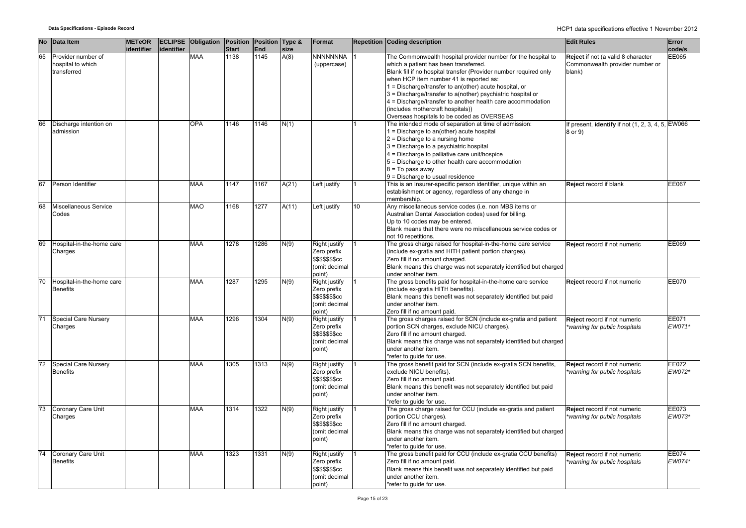|                 | No Data Item                                           | <b>METeOR</b><br>identifier | identifier | <b>ECLIPSE Obligation Position Position Type &amp;</b> | <b>Start</b> | End  | size  | <b>Format</b>                                                               |    | <b>Repetition Coding description</b>                                                                                                                                                                                                                                                                                                                                                                                                                                                              | <b>Edit Rules</b>                                                               | Error<br>code/s |
|-----------------|--------------------------------------------------------|-----------------------------|------------|--------------------------------------------------------|--------------|------|-------|-----------------------------------------------------------------------------|----|---------------------------------------------------------------------------------------------------------------------------------------------------------------------------------------------------------------------------------------------------------------------------------------------------------------------------------------------------------------------------------------------------------------------------------------------------------------------------------------------------|---------------------------------------------------------------------------------|-----------------|
| 65              | Provider number of<br>hospital to which<br>transferred |                             |            | <b>MAA</b>                                             | 1138         | 1145 | A(8)  | NNNNNNNA<br>(uppercase)                                                     |    | The Commonwealth hospital provider number for the hospital to<br>which a patient has been transferred.<br>Blank fill if no hospital transfer (Provider number required only<br>when HCP item number 41 is reported as:<br>1 = Discharge/transfer to an(other) acute hospital, or<br>3 = Discharge/transfer to a(nother) psychiatric hospital or<br>4 = Discharge/transfer to another health care accommodation<br>(includes mothercraft hospitals))<br>Overseas hospitals to be coded as OVERSEAS | Reject if not (a valid 8 character<br>Commonwealth provider number or<br>blank) | EE065           |
| 66              | Discharge intention on<br>admission                    |                             |            | <b>OPA</b>                                             | 1146         | 1146 | N(1)  |                                                                             |    | The intended mode of separation at time of admission:<br>1 = Discharge to an(other) acute hospital<br>2 = Discharge to a nursing home<br>3 = Discharge to a psychiatric hospital<br>4 = Discharge to palliative care unit/hospice<br>5 = Discharge to other health care accommodation<br>$8 = To pass away$<br>9 = Discharge to usual residence                                                                                                                                                   | If present, identify if not (1, 2, 3, 4, 5, EW066<br>8 or 9)                    |                 |
| 67              | Person Identifier                                      |                             |            | MAA                                                    | 1147         | 1167 | A(21) | eft justify                                                                 |    | This is an Insurer-specific person identifier, unique within an<br>establishment or agency, regardless of any change in<br>membership.                                                                                                                                                                                                                                                                                                                                                            | Reject record if blank                                                          | EE067           |
| 68              | Miscellaneous Service<br>Codes                         |                             |            | MAO                                                    | 1168         | 1277 | A(11) | eft justify                                                                 | 10 | Any miscellaneous service codes (i.e. non MBS items or<br>Australian Dental Association codes) used for billing.<br>Up to 10 codes may be entered.<br>Blank means that there were no miscellaneous service codes or<br>not 10 repetitions.                                                                                                                                                                                                                                                        |                                                                                 |                 |
| 69              | Hospital-in-the-home care<br>Charges                   |                             |            | <b>MAA</b>                                             | 1278         | 1286 | N(9)  | Right justify<br>Zero prefix<br>\$\$\$\$\$\$\$cc<br>(omit decimal<br>point) |    | The gross charge raised for hospital-in-the-home care service<br>(include ex-gratia and HITH patient portion charges).<br>Zero fill if no amount charged.<br>Blank means this charge was not separately identified but charged<br>under another item.                                                                                                                                                                                                                                             | Reject record if not numeric                                                    | EE069           |
| 70              | Hospital-in-the-home care<br><b>Benefits</b>           |                             |            | MAA                                                    | 1287         | 1295 | N(9)  | Right justify<br>Zero prefix<br>\$\$\$\$\$\$cc<br>(omit decimal<br>point)   |    | The gross benefits paid for hospital-in-the-home care service<br>(include ex-gratia HITH benefits).<br>Blank means this benefit was not separately identified but paid<br>under another item.<br>Zero fill if no amount paid.                                                                                                                                                                                                                                                                     | Reject record if not numeric                                                    | EE070           |
| $\overline{71}$ | Special Care Nursery<br>Charges                        |                             |            | <b>MAA</b>                                             | 1296         | 1304 | N(9)  | Right justify<br>Zero prefix<br>\$\$\$\$\$\$\$cc<br>(omit decimal<br>point) |    | The gross charges raised for SCN (include ex-gratia and patient<br>portion SCN charges, exclude NICU charges).<br>Zero fill if no amount charged.<br>Blank means this charge was not separately identified but charged<br>under another item.<br>*refer to guide for use.                                                                                                                                                                                                                         | Reject record if not numeric<br>warning for public hospitals                    | EE071<br>EW071* |
| 72              | Special Care Nursery<br><b>Benefits</b>                |                             |            | MAA                                                    | 1305         | 1313 | N(9)  | Right justify<br>Zero prefix<br>\$\$\$\$\$\$\$cc<br>(omit decimal<br>point) |    | The gross benefit paid for SCN (include ex-gratia SCN benefits,<br>exclude NICU benefits).<br>Zero fill if no amount paid.<br>Blank means this benefit was not separately identified but paid<br>under another item.<br>*refer to quide for use.                                                                                                                                                                                                                                                  | Reject record if not numeric<br>*warning for public hospitals                   | EE072<br>EW072* |
| 73              | Coronary Care Unit<br>Charges                          |                             |            | <b>MAA</b>                                             | 1314         | 1322 | N(9)  | Right justify<br>Zero prefix<br>\$\$\$\$\$\$\$cc<br>(omit decimal<br>point) |    | The gross charge raised for CCU (include ex-gratia and patient<br>portion CCU charges).<br>Zero fill if no amount charged.<br>Blank means this charge was not separately identified but charged<br>under another item.<br>*refer to guide for use.                                                                                                                                                                                                                                                | Reject record if not numeric<br>*warning for public hospitals                   | EE073<br>EW073* |
| 74              | Coronary Care Unit<br><b>Benefits</b>                  |                             |            | <b>MAA</b>                                             | 1323         | 1331 | N(9)  | Right justify<br>Zero prefix<br>\$\$\$\$\$\$cc<br>(omit decimal<br>point)   |    | The gross benefit paid for CCU (include ex-gratia CCU benefits)<br>Zero fill if no amount paid.<br>Blank means this benefit was not separately identified but paid<br>under another item.<br>*refer to quide for use.                                                                                                                                                                                                                                                                             | Reject record if not numeric<br>*warning for public hospitals                   | EE074<br>EW074* |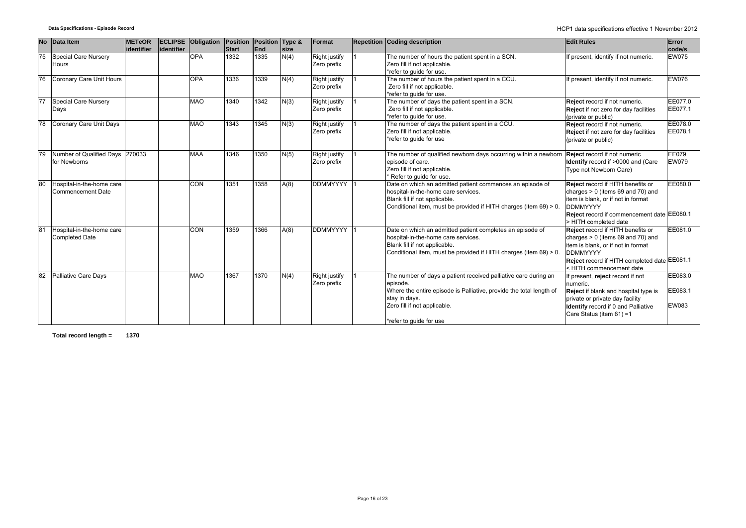| No | Data Item                                          | <b>METeOR</b> |             | <b>ECLIPSE Obligation Position</b> |                      | Position    | Type &       | Format                              | <b>Repetition Coding description</b>                                                                                                                                                                                           | <b>Edit Rules</b>                                                                                                                                                                                                                      | Error                       |
|----|----------------------------------------------------|---------------|-------------|------------------------------------|----------------------|-------------|--------------|-------------------------------------|--------------------------------------------------------------------------------------------------------------------------------------------------------------------------------------------------------------------------------|----------------------------------------------------------------------------------------------------------------------------------------------------------------------------------------------------------------------------------------|-----------------------------|
| 75 | Special Care Nursery<br>Hours                      | lidentifier   | lidentifier | <b>OPA</b>                         | <b>Start</b><br>1332 | End<br>1335 | size<br>N(4) | Right justify<br>Zero prefix        | The number of hours the patient spent in a SCN.<br>Zero fill if not applicable.<br>*refer to quide for use.                                                                                                                    | If present, identify if not numeric.                                                                                                                                                                                                   | code/s<br><b>EW075</b>      |
| 76 | Coronary Care Unit Hours                           |               |             | <b>OPA</b>                         | 1336                 | 1339        | N(4)         | Right justify<br>Zero prefix        | The number of hours the patient spent in a CCU.<br>Zero fill if not applicable.<br>*refer to guide for use.                                                                                                                    | If present, identify if not numeric.                                                                                                                                                                                                   | <b>EW076</b>                |
| 77 | <b>Special Care Nursery</b><br>Days                |               |             | <b>MAO</b>                         | 1340                 | 1342        | N(3)         | Right justify<br>Zero prefix        | The number of days the patient spent in a SCN.<br>Zero fill if not applicable.<br>*refer to guide for use.                                                                                                                     | Reject record if not numeric.<br>Reject if not zero for day facilities<br>(private or public)                                                                                                                                          | EE077.0<br>EE077.1          |
| 78 | Coronary Care Unit Days                            |               |             | <b>MAO</b>                         | 1343                 | 1345        | N(3)         | Right justify<br>Zero prefix        | The number of days the patient spent in a CCU.<br>Zero fill if not applicable.<br>*refer to guide for use                                                                                                                      | Reject record if not numeric.<br>Reject if not zero for day facilities<br>(private or public)                                                                                                                                          | EE078.0<br>EE078.1          |
|    | Number of Qualified Days 270033<br>for Newborns    |               |             | <b>MAA</b>                         | 1346                 | 1350        | N(5)         | <b>Right justify</b><br>Zero prefix | The number of qualified newborn days occurring within a newborn<br>episode of care.<br>Zero fill if not applicable.<br>* Refer to quide for use.                                                                               | Reject record if not numeric<br>Identify record if >0000 and (Care<br>Type not Newborn Care)                                                                                                                                           | EE079<br><b>EW079</b>       |
| 80 | Hospital-in-the-home care<br>Commencement Date     |               |             | <b>CON</b>                         | 1351                 | 1358        | A(8)         | <b>DDMMYYYY</b>                     | Date on which an admitted patient commences an episode of<br>hospital-in-the-home care services.<br>Blank fill if not applicable.<br>Conditional item, must be provided if HITH charges (item 69) > 0.                         | Reject record if HITH benefits or<br>charges $> 0$ (items 69 and 70) and<br>item is blank, or if not in format<br><b>DDMMYYYY</b><br>Reject record if commencement date EE080.1                                                        | EE080.0                     |
| 81 | Hospital-in-the-home care<br><b>Completed Date</b> |               |             | <b>CON</b>                         | 1359                 | 1366        | A(8)         | <b>DDMMYYYY</b>                     | Date on which an admitted patient completes an episode of<br>hospital-in-the-home care services.<br>Blank fill if not applicable.<br>Conditional item, must be provided if HITH charges (item 69) > 0.                         | > HITH completed date<br>Reject record if HITH benefits or<br>charges $> 0$ (items 69 and 70) and<br>item is blank, or if not in format<br><b>DDMMYYYY</b><br>Reject record if HITH completed date EE081.1<br>< HITH commencement date | EE081.0                     |
|    | <b>Palliative Care Days</b>                        |               |             | <b>MAO</b>                         | 1367                 | 1370        | N(4)         | Right justify<br>Zero prefix        | The number of days a patient received palliative care during an<br>episode.<br>Where the entire episode is Palliative, provide the total length of<br>stay in days.<br>Zero fill if not applicable.<br>*refer to quide for use | f present, reject record if not<br>numeric.<br>Reject if blank and hospital type is<br>private or private day facility<br>Identify record if 0 and Palliative<br>Care Status (item 61) =1                                              | EE083.0<br>EE083.1<br>EW083 |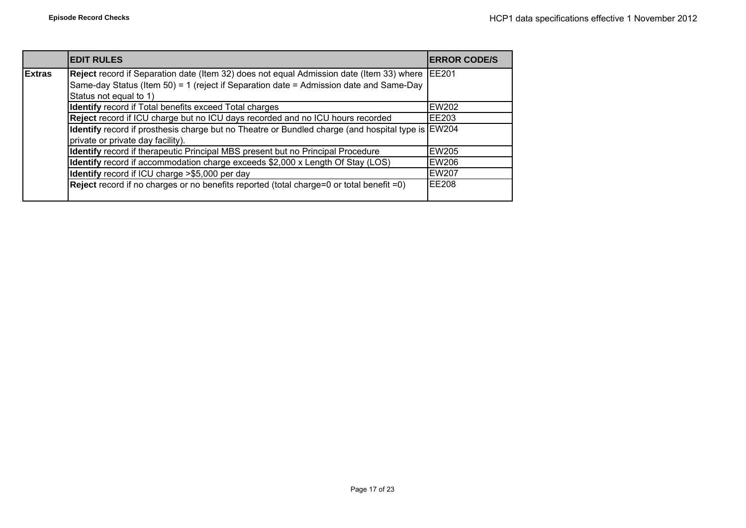|               | <b>EDIT RULES</b>                                                                                                                                                                        | <b>IERROR CODE/S</b> |
|---------------|------------------------------------------------------------------------------------------------------------------------------------------------------------------------------------------|----------------------|
| <b>Extras</b> | Reject record if Separation date (Item 32) does not equal Admission date (Item 33) where EE201<br>Same-day Status (Item 50) = 1 (reject if Separation date = Admission date and Same-Day |                      |
|               | Status not equal to 1)                                                                                                                                                                   |                      |
|               | <b>Identify</b> record if Total benefits exceed Total charges                                                                                                                            | <b>EW202</b>         |
|               | Reject record if ICU charge but no ICU days recorded and no ICU hours recorded                                                                                                           | EE203                |
|               | <b>Identify</b> record if prosthesis charge but no Theatre or Bundled charge (and hospital type is EW204                                                                                 |                      |
|               | private or private day facility).                                                                                                                                                        |                      |
|               | Identify record if therapeutic Principal MBS present but no Principal Procedure                                                                                                          | <b>EW205</b>         |
|               | Identify record if accommodation charge exceeds \$2,000 x Length Of Stay (LOS)                                                                                                           | <b>EW206</b>         |
|               | Identify record if ICU charge >\$5,000 per day                                                                                                                                           | <b>EW207</b>         |
|               | Reject record if no charges or no benefits reported (total charge=0 or total benefit =0)                                                                                                 | <b>EE208</b>         |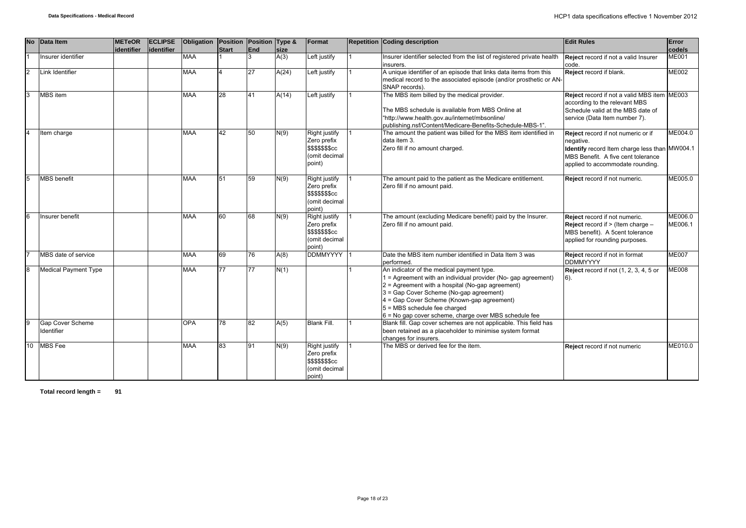| <b>No</b>      | Data Item                      | <b>METeOR</b> | <b>ECLIPSE</b> | <b>Obligation</b> | Position Position Type & |     |       | Format                                                                             | <b>Repetition Coding description</b>                                                                                                                                                                                                                                                                                                             | <b>Edit Rules</b>                                                                                                                                                          | Error              |
|----------------|--------------------------------|---------------|----------------|-------------------|--------------------------|-----|-------|------------------------------------------------------------------------------------|--------------------------------------------------------------------------------------------------------------------------------------------------------------------------------------------------------------------------------------------------------------------------------------------------------------------------------------------------|----------------------------------------------------------------------------------------------------------------------------------------------------------------------------|--------------------|
|                |                                | identifier    | lidentifier    |                   | Start                    | End | size  |                                                                                    |                                                                                                                                                                                                                                                                                                                                                  |                                                                                                                                                                            | code/s             |
|                | Insurer identifier             |               |                | <b>MAA</b>        |                          | 3   | A(3)  | Left justify                                                                       | Insurer identifier selected from the list of registered private health<br>insurers.                                                                                                                                                                                                                                                              | Reject record if not a valid Insurer<br>code.                                                                                                                              | <b>ME001</b>       |
| $\overline{2}$ | Link Identifier                |               |                | <b>MAA</b>        | $\overline{4}$           | 27  | A(24) | Left justify                                                                       | A unique identifier of an episode that links data items from this<br>medical record to the associated episode (and/or prosthetic or AN-<br>SNAP records).                                                                                                                                                                                        | Reject record if blank.                                                                                                                                                    | <b>ME002</b>       |
| 3              | <b>MBS</b> item                |               |                | <b>MAA</b>        | 28                       | 41  | A(14) | Left justify                                                                       | The MBS item billed by the medical provider.<br>The MBS schedule is available from MBS Online at<br>"http://www.health.gov.au/internet/mbsonline/<br>publishing.nsf/Content/Medicare-Benefits-Schedule-MBS-1".                                                                                                                                   | Reject record if not a valid MBS item ME003<br>according to the relevant MBS<br>Schedule valid at the MBS date of<br>service (Data Item number 7).                         |                    |
| $\overline{4}$ | Item charge                    |               |                | <b>MAA</b>        | 42                       | 50  | N(9)  | Right justify<br>Zero prefix<br><b>\$\$\$\$\$\$\$cc</b><br>(omit decimal<br>point) | The amount the patient was billed for the MBS item identified in<br>data item 3.<br>Zero fill if no amount charged.                                                                                                                                                                                                                              | Reject record if not numeric or if<br>negative.<br>Identify record Item charge less than MW004.1<br>MBS Benefit. A five cent tolerance<br>applied to accommodate rounding. | ME004.0            |
| $\overline{5}$ | <b>MBS</b> benefit             |               |                | <b>MAA</b>        | 51                       | 59  | N(9)  | Right justify<br>Zero prefix<br><b>\$\$\$\$\$\$\$cc</b><br>(omit decimal<br>point) | The amount paid to the patient as the Medicare entitlement.<br>Zero fill if no amount paid.                                                                                                                                                                                                                                                      | Reject record if not numeric.                                                                                                                                              | ME005.0            |
| 6              | Insurer benefit                |               |                | <b>MAA</b>        | 60                       | 68  | N(9)  | Right justify<br>Zero prefix<br><b>\$\$\$\$\$\$\$cc</b><br>(omit decimal<br>point) | The amount (excluding Medicare benefit) paid by the Insurer.<br>Zero fill if no amount paid.                                                                                                                                                                                                                                                     | Reject record if not numeric.<br>Reject record if > (Item charge -<br>MBS benefit). A 5cent tolerance<br>applied for rounding purposes.                                    | ME006.0<br>ME006.1 |
|                | MBS date of service            |               |                | <b>MAA</b>        | 69                       | 76  | A(8)  | <b>DDMMYYYY</b>                                                                    | Date the MBS item number identified in Data Item 3 was<br>performed.                                                                                                                                                                                                                                                                             | Reject record if not in format<br><b>DDMMYYYY</b>                                                                                                                          | <b>ME007</b>       |
| 8              | <b>Medical Payment Type</b>    |               |                | <b>MAA</b>        | 77                       | 77  | N(1)  |                                                                                    | An indicator of the medical payment type.<br>1 = Agreement with an individual provider (No- gap agreement)<br>2 = Agreement with a hospital (No-gap agreement)<br>3 = Gap Cover Scheme (No-gap agreement)<br>4 = Gap Cover Scheme (Known-gap agreement)<br>5 = MBS schedule fee charged<br>6 = No gap cover scheme, charge over MBS schedule fee | <b>Reject</b> record if not (1, 2, 3, 4, 5 or                                                                                                                              | <b>ME008</b>       |
| 9              | Gap Cover Scheme<br>Identifier |               |                | OPA               | 78                       | 82  | A(5)  | <b>Blank Fill.</b>                                                                 | Blank fill. Gap cover schemes are not applicable. This field has<br>been retained as a placeholder to minimise system format<br>changes for insurers.                                                                                                                                                                                            |                                                                                                                                                                            |                    |
| 10             | <b>MBS</b> Fee                 |               |                | <b>MAA</b>        | 83                       | 91  | N(9)  | Right justify<br>Zero prefix<br><b>\$\$\$\$\$\$\$cc</b><br>(omit decimal<br>point) | The MBS or derived fee for the item.                                                                                                                                                                                                                                                                                                             | Reject record if not numeric                                                                                                                                               | ME010.0            |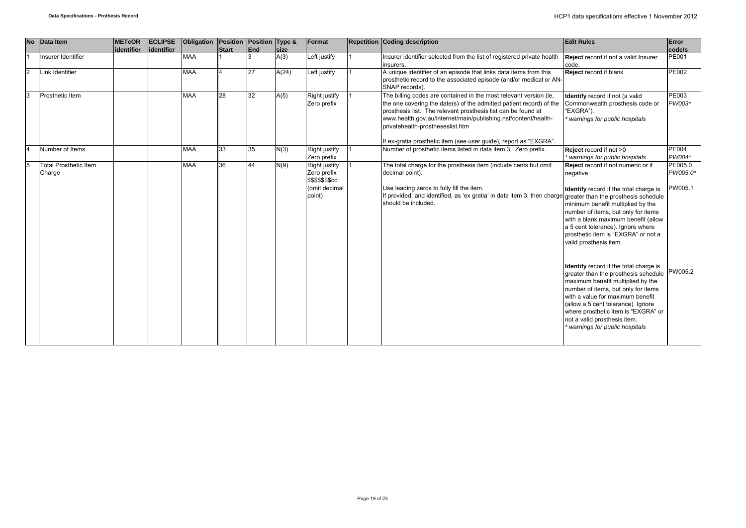| <b>No</b>    | Data Item                              | <b>METeOR</b><br>identifier | <b>ECLIPSE</b><br><b>identifier</b> | Obligation | Position<br>Start | Position Type &<br>End | size  | Format                                                                                    | <b>Repetition Coding description</b>                                                                                                                                                                                                                                                                                                                                                 | <b>Edit Rules</b>                                                                                                                                                                                                                                                                                                                                                                                    | Error<br>code/s                           |
|--------------|----------------------------------------|-----------------------------|-------------------------------------|------------|-------------------|------------------------|-------|-------------------------------------------------------------------------------------------|--------------------------------------------------------------------------------------------------------------------------------------------------------------------------------------------------------------------------------------------------------------------------------------------------------------------------------------------------------------------------------------|------------------------------------------------------------------------------------------------------------------------------------------------------------------------------------------------------------------------------------------------------------------------------------------------------------------------------------------------------------------------------------------------------|-------------------------------------------|
|              | Insurer Identifier                     |                             |                                     | <b>MAA</b> |                   |                        | A(3)  | Left justify                                                                              | Insurer identifier selected from the list of registered private health<br>insurers.                                                                                                                                                                                                                                                                                                  | Reject record if not a valid Insurer<br>code.                                                                                                                                                                                                                                                                                                                                                        | <b>PE001</b>                              |
| 2            | Link Identifier                        |                             |                                     | <b>MAA</b> |                   | 27                     | A(24) | Left justify                                                                              | A unique identifier of an episode that links data items from this<br>prosthetic record to the associated episode (and/or medical or AN-<br>SNAP records).                                                                                                                                                                                                                            | Reject record if blank                                                                                                                                                                                                                                                                                                                                                                               | <b>PE002</b>                              |
| $\mathbf{R}$ | Prosthetic Item                        |                             |                                     | <b>MAA</b> | 28                | 32                     | A(5)  | Right justify<br>Zero prefix                                                              | The billing codes are contained in the most relevant version (ie,<br>the one covering the date(s) of the admitted patient record) of the<br>prosthesis list. The relevant prosthesis list can be found at<br>www.health.gov.au/internet/main/publishing.nsf/content/health-<br>privatehealth-prostheseslist.htm<br>If ex-gratia prosthetic item (see user guide), report as "EXGRA". | Identify record if not (a valid<br>Commonwealth prosthesis code or<br>"EXGRA").<br>warnings for public hospitals                                                                                                                                                                                                                                                                                     | PE003<br>PW003*                           |
|              | Number of Items                        |                             |                                     | <b>MAA</b> | 33                | 35                     | N(3)  | Right justify<br>Zero prefix                                                              | Number of prosthetic items listed in data item 3. Zero prefix.                                                                                                                                                                                                                                                                                                                       | Reject record if not >0<br>warnings for public hospitals                                                                                                                                                                                                                                                                                                                                             | <b>PE004</b><br>PW004*                    |
|              | <b>Total Prosthetic Item</b><br>Charge |                             |                                     | <b>MAA</b> | 36                | 44                     | N(9)  | <b>Right justify</b><br>Zero prefix<br><b>\$\$\$\$\$\$\$cc</b><br>(omit decimal<br>point) | The total charge for the prosthesis item (include cents but omit<br>decimal point).<br>Use leading zeros to fully fill the item.<br>If provided, and identified, as 'ex gratia' in data item 3, then charge greater than the prosthesis schedule<br>should be included.                                                                                                              | Reject record if not numeric or if<br>negative.<br>Identify record if the total charge is<br>minimum benefit multiplied by the<br>number of items, but only for items<br>with a blank maximum benefit (allow<br>a 5 cent tolerance). Ignore where<br>prosthetic item is "EXGRA" or not a<br>valid prosthesis item.<br>Identify record if the total charge is<br>greater than the prosthesis schedule | PE005.0<br>PW005.0*<br>PW005.1<br>PW005.2 |
|              |                                        |                             |                                     |            |                   |                        |       |                                                                                           |                                                                                                                                                                                                                                                                                                                                                                                      | maximum benefit multiplied by the<br>number of items, but only for items<br>with a value for maximum benefit<br>(allow a 5 cent tolerance). Ignore<br>where prosthetic item is "EXGRA" or<br>not a valid prosthesis item.<br>warnings for public hospitals                                                                                                                                           |                                           |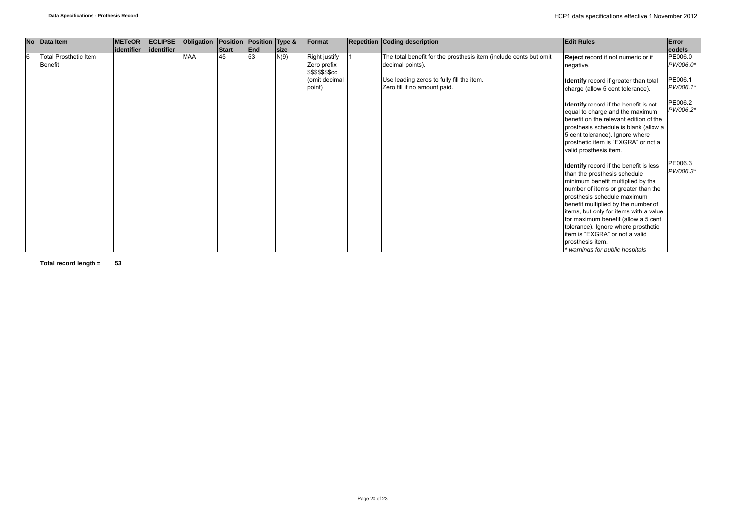|   | No Data Item                 | <b>METeOR</b> | <b>ECLIPSE</b> | Obligation | Position Position Type & |     |      | Format                          | Repetition Coding description                                     | <b>Edit Rules</b>                                                                                                                                                                                                                                                                                                                                                                                                                          | Error               |
|---|------------------------------|---------------|----------------|------------|--------------------------|-----|------|---------------------------------|-------------------------------------------------------------------|--------------------------------------------------------------------------------------------------------------------------------------------------------------------------------------------------------------------------------------------------------------------------------------------------------------------------------------------------------------------------------------------------------------------------------------------|---------------------|
|   |                              | identifier    | identifier     |            | <b>Start</b>             | End | size |                                 |                                                                   |                                                                                                                                                                                                                                                                                                                                                                                                                                            | code/s              |
| 6 | <b>Total Prosthetic Item</b> |               |                | <b>MAA</b> | 45                       | 53  | N(9) | Right justify                   | The total benefit for the prosthesis item (include cents but omit | Reject record if not numeric or if                                                                                                                                                                                                                                                                                                                                                                                                         | PE006.0             |
|   | <b>Benefit</b>               |               |                |            |                          |     |      | Zero prefix<br>\$\$\$\$\$\$\$cc | decimal points).                                                  | negative.                                                                                                                                                                                                                                                                                                                                                                                                                                  | PW006.0*            |
|   |                              |               |                |            |                          |     |      | (omit decimal                   | Use leading zeros to fully fill the item.                         | <b>Identify</b> record if greater than total                                                                                                                                                                                                                                                                                                                                                                                               | PE006.1             |
|   |                              |               |                |            |                          |     |      | point)                          | Zero fill if no amount paid.                                      | charge (allow 5 cent tolerance).                                                                                                                                                                                                                                                                                                                                                                                                           | PW006.1*            |
|   |                              |               |                |            |                          |     |      |                                 |                                                                   | Identify record if the benefit is not<br>equal to charge and the maximum<br>benefit on the relevant edition of the<br>prosthesis schedule is blank (allow a<br>5 cent tolerance). Ignore where<br>prosthetic item is "EXGRA" or not a<br>valid prosthesis item.                                                                                                                                                                            | PE006.2<br>PW006.2* |
|   |                              |               |                |            |                          |     |      |                                 |                                                                   | Identify record if the benefit is less<br>than the prosthesis schedule<br>minimum benefit multiplied by the<br>number of items or greater than the<br>prosthesis schedule maximum<br>benefit multiplied by the number of<br>items, but only for items with a value<br>for maximum benefit (allow a 5 cent<br>tolerance). Ignore where prosthetic<br>litem is "EXGRA" or not a valid<br>prosthesis item.<br>* warnings for public hospitals | PE006.3<br>PW006.3* |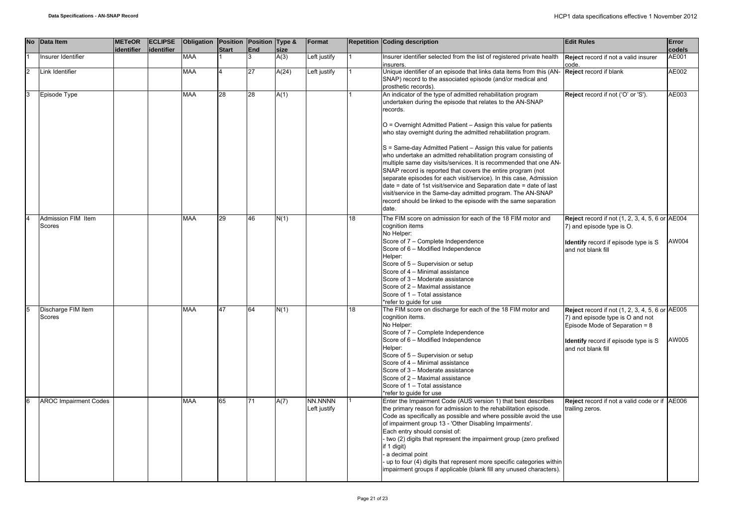|                | No Data Item                 | <b>METeOR</b><br>identifier | <b>ECLIPSE</b><br>lidentifier | Obligation Position Position Type & | <b>Start</b> | <b>End</b> | size  | Format                  |    | Repetition Coding description                                                                                                                                                                                                                                                                                                                                                                                                                                                                                                                                                                                                                                                                                                                                                                                                             | <b>Edit Rules</b>                                                                                                                                                                                 | Error<br>code/s |
|----------------|------------------------------|-----------------------------|-------------------------------|-------------------------------------|--------------|------------|-------|-------------------------|----|-------------------------------------------------------------------------------------------------------------------------------------------------------------------------------------------------------------------------------------------------------------------------------------------------------------------------------------------------------------------------------------------------------------------------------------------------------------------------------------------------------------------------------------------------------------------------------------------------------------------------------------------------------------------------------------------------------------------------------------------------------------------------------------------------------------------------------------------|---------------------------------------------------------------------------------------------------------------------------------------------------------------------------------------------------|-----------------|
|                | Insurer Identifier           |                             |                               | <b>MAA</b>                          |              |            | A(3)  | Left justify            |    | Insurer identifier selected from the list of registered private health<br>insurers.                                                                                                                                                                                                                                                                                                                                                                                                                                                                                                                                                                                                                                                                                                                                                       | Reject record if not a valid insurer<br>code.                                                                                                                                                     | AE001           |
| $\overline{2}$ | Link Identifier              |                             |                               | <b>MAA</b>                          |              | 27         | A(24) | Left justify            |    | Unique identifier of an episode that links data items from this (AN-<br>SNAP) record to the associated episode (and/or medical and<br>prosthetic records).                                                                                                                                                                                                                                                                                                                                                                                                                                                                                                                                                                                                                                                                                | Reject record if blank                                                                                                                                                                            | AE002           |
| 3              | Episode Type                 |                             |                               | MAA                                 | 28           | 28         | A(1)  |                         |    | An indicator of the type of admitted rehabilitation program<br>undertaken during the episode that relates to the AN-SNAP<br>records.<br>O = Overnight Admitted Patient - Assign this value for patients<br>who stay overnight during the admitted rehabilitation program.<br>S = Same-day Admitted Patient - Assign this value for patients<br>who undertake an admitted rehabilitation program consisting of<br>multiple same day visits/services. It is recommended that one AN-<br>SNAP record is reported that covers the entire program (not<br>separate episodes for each visit/service). In this case, Admission<br>date = date of 1st visit/service and Separation date = date of last<br>visit/service in the Same-day admitted program. The AN-SNAP<br>record should be linked to the episode with the same separation<br>date. | Reject record if not ('O' or 'S').                                                                                                                                                                | AE003           |
| $\overline{4}$ | Admission FIM Item<br>Scores |                             |                               | <b>MAA</b>                          | 29           | 46         | N(1)  |                         | 18 | The FIM score on admission for each of the 18 FIM motor and<br>cognition items<br>No Helper:<br>Score of 7 - Complete Independence<br>Score of 6 - Modified Independence<br>Helper:<br>Score of 5 - Supervision or setup<br>Score of 4 - Minimal assistance<br>Score of 3 - Moderate assistance<br>Score of 2 - Maximal assistance<br>Score of 1 - Total assistance<br>*refer to guide for use                                                                                                                                                                                                                                                                                                                                                                                                                                            | <b>Reject</b> record if not (1, 2, 3, 4, 5, 6 or AE004<br>7) and episode type is O.<br><b>Identify</b> record if episode type is S<br>and not blank fill                                          | AW004           |
|                | Discharge FIM Item<br>Scores |                             |                               | <b>MAA</b>                          | 47           | 64         | N(1)  |                         | 18 | The FIM score on discharge for each of the 18 FIM motor and<br>cognition items.<br>No Helper:<br>Score of 7 - Complete Independence<br>Score of 6 - Modified Independence<br>Helper:<br>Score of 5 - Supervision or setup<br>Score of 4 - Minimal assistance<br>Score of 3 - Moderate assistance<br>Score of 2 - Maximal assistance<br>Score of 1 - Total assistance<br>*refer to guide for use                                                                                                                                                                                                                                                                                                                                                                                                                                           | <b>Reject</b> record if not (1, 2, 3, 4, 5, 6 or AE005<br>7) and episode type is O and not<br>Episode Mode of Separation = 8<br><b>Identify</b> record if episode type is S<br>and not blank fill | AW005           |
| 6              | <b>AROC Impairment Codes</b> |                             |                               | <b>MAA</b>                          | 65           | 71         | A(7)  | NN.NNNN<br>Left justify |    | Enter the Impairment Code (AUS version 1) that best describes<br>the primary reason for admission to the rehabilitation episode.<br>Code as specifically as possible and where possible avoid the use<br>of impairment group 13 - 'Other Disabling Impairments'.<br>Each entry should consist of:<br>two (2) digits that represent the impairment group (zero prefixed<br>if 1 digit)<br>a decimal point<br>up to four (4) digits that represent more specific categories within<br>impairment groups if applicable (blank fill any unused characters).                                                                                                                                                                                                                                                                                   | Reject record if not a valid code or if AE006<br>trailing zeros.                                                                                                                                  |                 |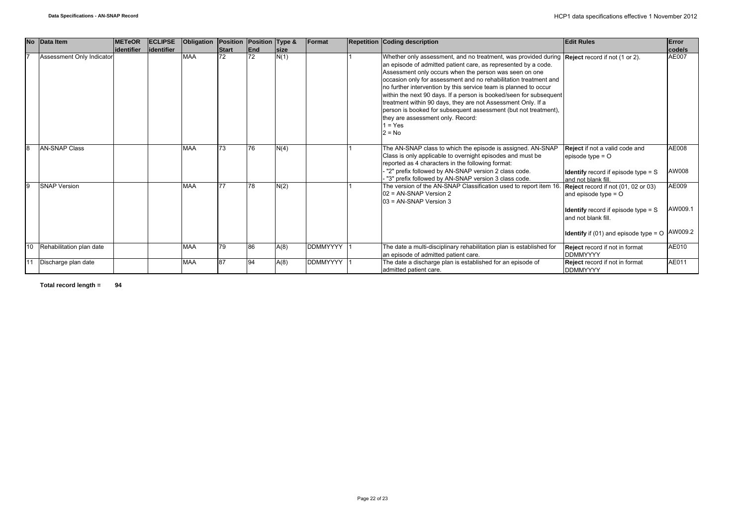|    | No Data Item              | <b>IMETeOR</b> | <b>ECLIPSE</b> | Obligation | Position Position Type & |     |             | Format          | <b>Repetition Coding description</b>                                                                                                                                                                                                                                                                                                                                                                                                                                                                                                                                                                                                     | <b>Edit Rules</b>                                                                                                                                                                          | Error                       |
|----|---------------------------|----------------|----------------|------------|--------------------------|-----|-------------|-----------------|------------------------------------------------------------------------------------------------------------------------------------------------------------------------------------------------------------------------------------------------------------------------------------------------------------------------------------------------------------------------------------------------------------------------------------------------------------------------------------------------------------------------------------------------------------------------------------------------------------------------------------------|--------------------------------------------------------------------------------------------------------------------------------------------------------------------------------------------|-----------------------------|
|    |                           | lidentifier    | lidentifier    |            | <b>Start</b>             | End | <b>Size</b> |                 |                                                                                                                                                                                                                                                                                                                                                                                                                                                                                                                                                                                                                                          |                                                                                                                                                                                            | code/s                      |
|    | Assessment Only Indicator |                |                | <b>MAA</b> | 72                       | 72  | N(1)        |                 | Whether only assessment, and no treatment, was provided during Reject record if not (1 or 2).<br>an episode of admitted patient care, as represented by a code.<br>Assessment only occurs when the person was seen on one<br>occasion only for assessment and no rehabilitation treatment and<br>no further intervention by this service team is planned to occur<br>within the next 90 days. If a person is booked/seen for subsequent<br>treatment within 90 days, they are not Assessment Only. If a<br>person is booked for subsequent assessment (but not treatment),<br>they are assessment only. Record:<br>$1 = Yes$<br>$2 = No$ |                                                                                                                                                                                            | AE007                       |
| 8  | <b>AN-SNAP Class</b>      |                |                | <b>MAA</b> | 73                       | 76  | N(4)        |                 | The AN-SNAP class to which the episode is assigned. AN-SNAP<br>Class is only applicable to overnight episodes and must be<br>reported as 4 characters in the following format:<br>"2" prefix followed by AN-SNAP version 2 class code.<br>"3" prefix followed by AN-SNAP version 3 class code.                                                                                                                                                                                                                                                                                                                                           | Reject if not a valid code and<br>episode type $=$ $\circ$<br><b>Identify</b> record if episode type $=$ S<br>and not blank fill.                                                          | AE008<br>AW008              |
| 9  | <b>SNAP Version</b>       |                |                | <b>MAA</b> | 77                       | 78  | N(2)        |                 | The version of the AN-SNAP Classification used to report item 16.<br>02 = AN-SNAP Version 2<br>$03$ = AN-SNAP Version 3                                                                                                                                                                                                                                                                                                                                                                                                                                                                                                                  | Reject record if not (01, 02 or 03)<br>and episode type $=$ O<br><b>Identify</b> record if episode type $=$ S<br>and not blank fill.<br><b>Identify</b> if (01) and episode type = $\circ$ | AE009<br>AW009.1<br>AW009.2 |
| 10 | Rehabilitation plan date  |                |                | <b>MAA</b> | 79                       | 86  | A(8)        | <b>DDMMYYYY</b> | The date a multi-disciplinary rehabilitation plan is established for<br>an episode of admitted patient care.                                                                                                                                                                                                                                                                                                                                                                                                                                                                                                                             | Reject record if not in format<br><b>DDMMYYYY</b>                                                                                                                                          | AE010                       |
| 11 | Discharge plan date       |                |                | <b>MAA</b> | 87                       | Q4  | A(8)        | <b>DDMMYYYY</b> | The date a discharge plan is established for an episode of<br>admitted patient care.                                                                                                                                                                                                                                                                                                                                                                                                                                                                                                                                                     | Reject record if not in format<br><b>DDMMYYYY</b>                                                                                                                                          | AE011                       |